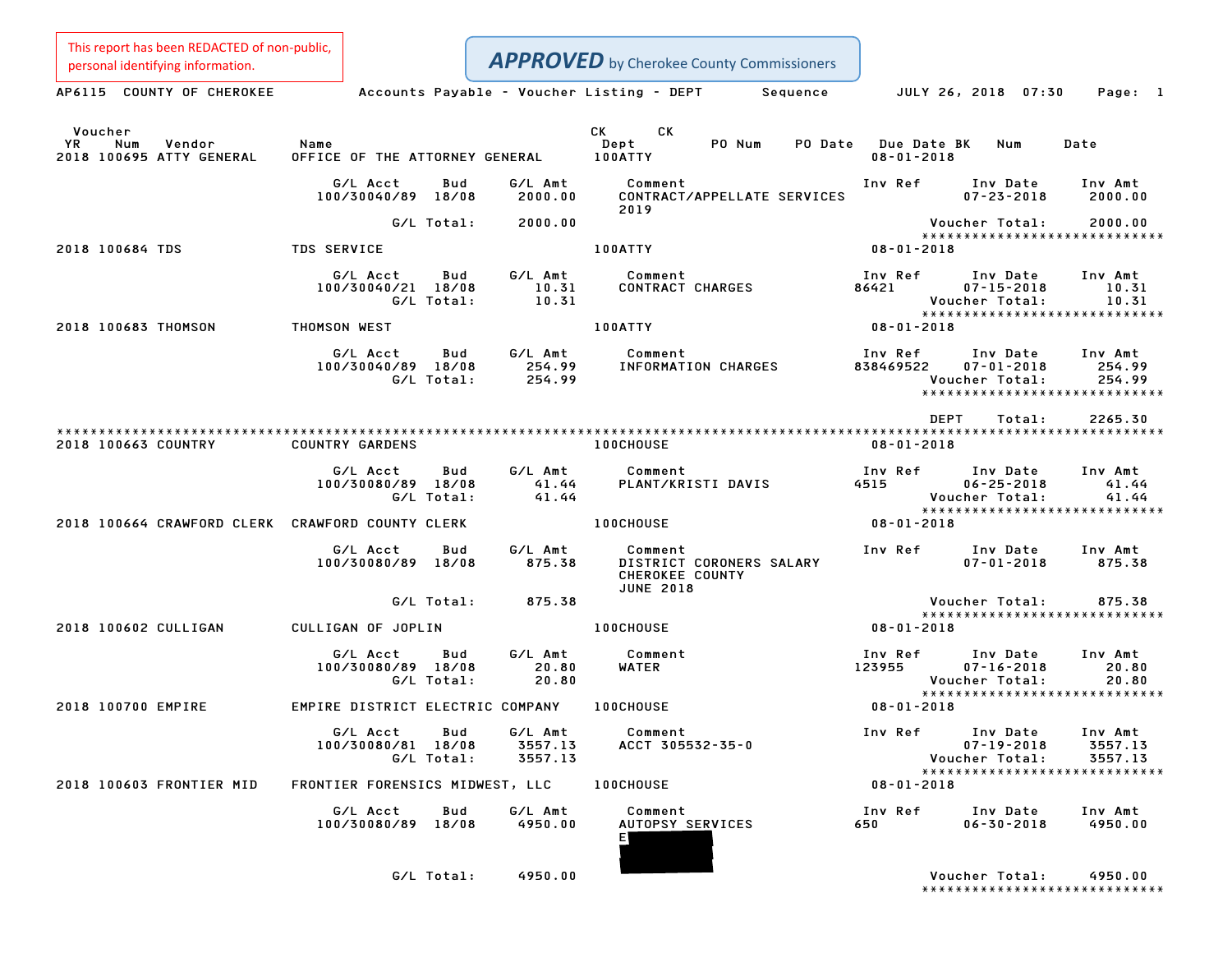This report has been REDACTED of non-public,

| personal identifying information.                          |                                                |                                      | <b>APPROVED</b> by Cherokee County Commissioners                           |                                         |                                                        |                                                                |
|------------------------------------------------------------|------------------------------------------------|--------------------------------------|----------------------------------------------------------------------------|-----------------------------------------|--------------------------------------------------------|----------------------------------------------------------------|
| AP6115 COUNTY OF CHEROKEE                                  |                                                |                                      | Accounts Payable – Voucher Listing – DEPT<br>Sequence                      | JULY 26, 2018 07:30                     |                                                        | Page: 1                                                        |
| Voucher<br>YR<br>Num<br>Vendor<br>2018 100695 ATTY GENERAL | Name<br>OFFICE OF THE ATTORNEY GENERAL 100ATTY |                                      | CK.<br>CK D<br>Dept<br>PO Num                                              | PO Date Due Date BK<br>$08 - 01 - 2018$ | Num                                                    | Date                                                           |
|                                                            | G/L Acct<br>100/30040/89 18/08                 | Bud<br>2000.00                       | G/L Amt Comment<br>CONTRACT/APPELLATE SERVICES                             | Inv Ref Inv Date                        | $07 - 23 - 2018$                                       | Inv Amt<br>2000.00                                             |
|                                                            | G/L Total:                                     | 2000.00                              | 2019                                                                       |                                         | Voucher Total:                                         | 2000.00<br>*****************************                       |
| 2018 100684 TDS                                            | <b>TDS SERVICE</b>                             |                                      | 100ATTY                                                                    | $08 - 01 - 2018$                        |                                                        |                                                                |
|                                                            | G/L Acct<br>100/30040/21 18/08<br>G/L Total:   | G/L Amt<br>Bud<br>10.31<br>10.31     | Comment<br>CONTRACT CHARGES                                                | Inv Ref<br>86421                        | Inv Date<br>$07 - 15 - 2018$<br>Voucher Total:         | Inv Amt<br>10.31<br>10.31                                      |
| 2018 100683 THOMSON                                        | THOMSON WEST                                   |                                      | <b>100ATTY</b>                                                             | $08 - 01 - 2018$                        |                                                        | *****************************                                  |
|                                                            | G/L Acct<br>100/30040/89 18/08<br>G/L Total:   | <b>Bud</b><br>254.99<br>254.99       | G/L Amt Comment<br>INFORMATION CHARGES                                     | Inv Ref<br>838469522                    | Inv Date Inv Amt<br>$07 - 01 - 2018$<br>Voucher Total: | 254.99<br>254.99<br>*****************************              |
|                                                            |                                                |                                      |                                                                            | DEPT                                    | Total:                                                 | 2265.30                                                        |
| 2018 100663 COUNTRY                                        | COUNTRY GARDENS                                |                                      | <b>100CHOUSE</b>                                                           | $08 - 01 - 2018$                        |                                                        |                                                                |
|                                                            | G/L Acct<br>100/30080/89 18/08<br>G/L Total:   | Bud<br>G/L Amt<br>$41.44$<br>$41.44$ | Comment<br>PLANT/KRISTI DAVIS                                              | Inv Ref                                 | Inv Date<br>$06 - 25 - 2018$<br>Voucher Total:         | Inv Amt<br>41.44<br>41.44<br>*****************************     |
| 2018 100664 CRAWFORD CLERK CRAWFORD COUNTY CLERK           |                                                |                                      | <b>100CHOUSE</b>                                                           | $08 - 01 - 2018$                        |                                                        |                                                                |
|                                                            | G/L Acct<br>100/30080/89 18/08                 | G/L Amt<br>Bud<br>875.38             | Comment<br>DISTRICT CORONERS SALARY<br>CHEROKEE COUNTY<br><b>JUNE 2018</b> | Inv Ref Inv Date Inv Amt                | $07 - 01 - 2018$                                       | 875.38                                                         |
|                                                            | G/L Total:                                     | 875.38                               |                                                                            |                                         | Voucher Total:                                         | 875.38<br>*****************************                        |
| 2018 100602 CULLIGAN                                       | CULLIGAN OF JOPLIN                             |                                      | <b>100CHOUSE</b>                                                           | $08 - 01 - 2018$                        |                                                        |                                                                |
|                                                            | G/L Acct<br>100/30080/89 18/08<br>G/L Total:   | Bud<br>G/L Amt<br>20.80<br>20.80     | Comment<br>WATER                                                           | Inv Ref<br>$123955$ $07-16-2018$        | Inv Date<br>Voucher Total:                             | Inv Amt<br>20.80<br>20.80                                      |
| 2018 100700 EMPIRE                                         | EMPIRE DISTRICT ELECTRIC COMPANY 100CHOUSE     |                                      |                                                                            | 08-01-2018                              |                                                        | *****************************                                  |
|                                                            | G/L Acct<br>100/30080/81 18/08<br>G/L Total:   | G/L Amt<br>Bud<br>3557.13<br>3557.13 | Comment<br>ACCT 305532-35-0                                                | Inv Ref                                 | Inv Date<br>$07 - 19 - 2018$<br>Voucher Total:         | Inv Amt<br>3557.13<br>3557.13<br>***************************** |
| 2018 100603 FRONTIER MID                                   | FRONTIER FORENSICS MIDWEST, LLC                |                                      | <b>100CHOUSE</b>                                                           | $08 - 01 - 2018$                        |                                                        |                                                                |
|                                                            | G/L Acct<br>100/30080/89 18/08                 | G/L Amt<br>Bud<br>4950.00            | Comment<br><b>AUTOPSY SERVICES</b><br>ΕĮ                                   | Inv Ref<br>650                          | Inv Date<br>$06 - 30 - 2018$                           | Inv Amt<br>4950.00                                             |
|                                                            | G/L Total:                                     | 4950.00                              |                                                                            |                                         | Voucher Total:                                         | 4950.00                                                        |

Voucher Total: 4950.00<br>\*\*\*\*\*\*\*\*\*\*\*\*\*\*\*\*\*\*\*\*\*\*\*\*\*\*\*\*\*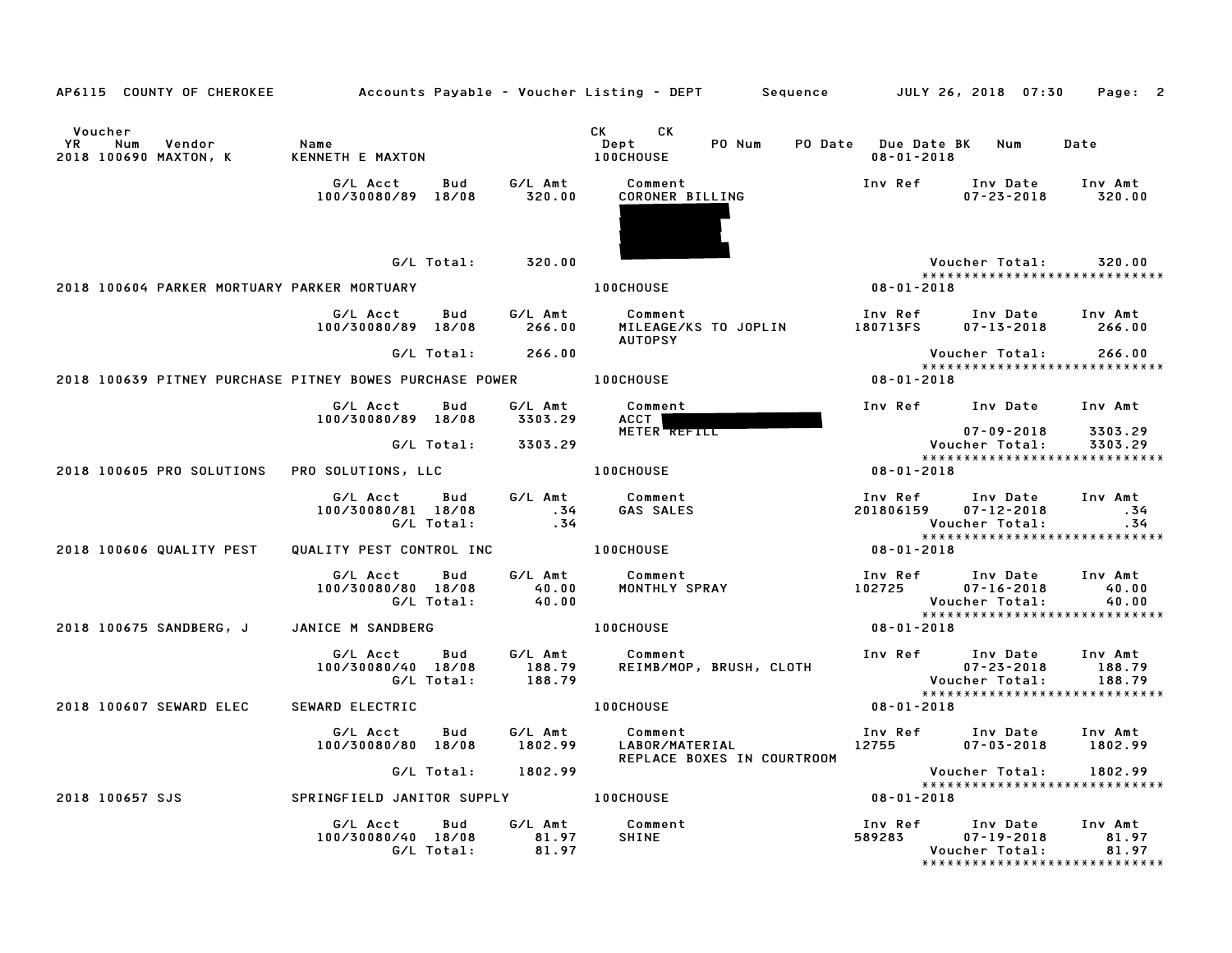| AP6115 COUNTY OF CHEROKEE                                |                                                     |                             | Accounts Payable – Voucher Listing – DEPT        Sequence          JULY 26, 2018  07:30                                                                                                                                                                                     |                                             |                                                 | Page: 2                                  |
|----------------------------------------------------------|-----------------------------------------------------|-----------------------------|-----------------------------------------------------------------------------------------------------------------------------------------------------------------------------------------------------------------------------------------------------------------------------|---------------------------------------------|-------------------------------------------------|------------------------------------------|
| Voucher<br>YR.<br>Num<br>Vendor<br>2018 100690 MAXTON, K | Name<br>KENNETH E MAXTON                            |                             | CK the control of the control of the control of the control of the control of the control of the control of the control of the control of the control of the control of the control of the control of the control of the contr<br>CK.<br>PO Num<br>Dept<br><b>100CHOUSE</b> | PO Date Due Date BK Num<br>$08 - 01 - 2018$ |                                                 | Date                                     |
|                                                          | G/L Acct<br>Bud<br>100/30080/89 18/08               | G/L Amt<br>320.00           | Comment<br>CORONER BILLING                                                                                                                                                                                                                                                  | Inv Ref                                     | Inv Date<br>$07 - 23 - 2018$                    | Inv Amt<br>320.00                        |
| 2018 100604 PARKER MORTUARY PARKER MORTUARY              | G/L Total:                                          | 320.00                      | <b>100CHOUSE</b>                                                                                                                                                                                                                                                            | 08-01-2018                                  | Voucher Total:                                  | 320.00<br>*****************************  |
|                                                          | G/L Acct<br>Bud<br>100/30080/89 18/08               | G/L Amt<br>266.00           | Comment<br>MILEAGE/KS TO JOPLIN<br><b>AUTOPSY</b>                                                                                                                                                                                                                           | Inv Ref<br>180713FS                         | Inv Date<br>$07 - 13 - 2018$                    | Inv Amt<br>266.00                        |
| 2018 100639 PITNEY PURCHASE PITNEY BOWES PURCHASE POWER  | G/L Total:                                          | 266.00                      | <b>100CHOUSE</b>                                                                                                                                                                                                                                                            | $08 - 01 - 2018$                            | Voucher Total:                                  | 266.00<br>*****************************  |
|                                                          | G/L Acct<br>Bud<br>100/30080/89 18/08               | G/L Amt<br>3303.29          | Comment<br>ACCT  <br>METER REFILL                                                                                                                                                                                                                                           |                                             | Inv Ref Inv Date<br>$07 - 09 - 2018$            | Inv Amt<br>3303.29                       |
| 2018 100605 PRO SOLUTIONS                                | G/L Total:<br>PRO SOLUTIONS, LLC                    | 3303.29                     | <b>100CHOUSE</b>                                                                                                                                                                                                                                                            | 08-01-2018                                  | Voucher Total:                                  | 3303.29<br>***************************** |
|                                                          | G/L Acct<br>Bud<br>100/30080/81 18/08<br>G/L Total: | G/L Amt<br>.34<br>. 34      | Comment<br>GAS SALES                                                                                                                                                                                                                                                        | Inv Ref<br>201806159 07-12-2018             | Inv Date<br>Voucher Total:                      | Inv Amt<br>.34<br>.34                    |
| 2018 100606 QUALITY PEST                                 | QUALITY PEST CONTROL INC                            |                             | <b>100CHOUSE</b>                                                                                                                                                                                                                                                            | $08 - 01 - 2018$                            |                                                 | *****************************            |
|                                                          | G/L Acct<br>Bud<br>100/30080/80 18/08<br>G/L Total: | G/L Amt<br>40.00<br>40.00   | Comment<br>MONTHLY SPRAY                                                                                                                                                                                                                                                    | Inv Ref Inv Date<br>102725 07–16–2018       | Voucher Total:                                  | Inv Amt<br>40.00<br>40.00                |
| 2018 100675 SANDBERG, J                                  | JANICE M SANDBERG                                   |                             | <b>100CHOUSE</b>                                                                                                                                                                                                                                                            | 08-01-2018                                  |                                                 | ******************************           |
|                                                          | G/L Acct<br>Bud<br>100/30080/40 18/08<br>G/L Total: | G/L Amt<br>188.79<br>188.79 | Comment<br>REIMB/MOP, BRUSH, CLOTH                                                                                                                                                                                                                                          | Inv Ref                                     | Inv Date<br>$07 - 23 - 2018$<br>Voucher Total:  | Inv Amt<br>188.79<br>188.79              |
| 2018 100607 SEWARD ELEC                                  | SEWARD ELECTRIC                                     |                             | <b>100CHOUSE</b>                                                                                                                                                                                                                                                            | $08 - 01 - 2018$                            |                                                 | *****************************            |
|                                                          | G/L Acct<br>Bud<br>100/30080/80 18/08               | G/L Amt<br>1802.99          | Comment<br>LABOR/MATERIAL<br>REPLACE BOXES IN COURTROOM                                                                                                                                                                                                                     | Inv Ref Inv Date<br>12755 07–03–2018        |                                                 | Inv Amt<br>1802.99                       |
|                                                          | G/L Total: 1802.99                                  |                             |                                                                                                                                                                                                                                                                             |                                             | Voucher Total:<br>***************************** | 1802.99                                  |
| 2018 100657 SJS                                          | SPRINGFIELD JANITOR SUPPLY 100CHOUSE                |                             |                                                                                                                                                                                                                                                                             | 08-01-2018                                  |                                                 |                                          |
|                                                          | G/L Acct<br>Bud<br>100/30080/40 18/08<br>G/L Total: | G/L Amt<br>81.97<br>81.97   | Comment<br>SHINE                                                                                                                                                                                                                                                            | Inv Ref<br>589283                           | Inv Date<br>$07 - 19 - 2018$<br>Voucher Total:  | Inv Amt<br>81.97<br>81.97                |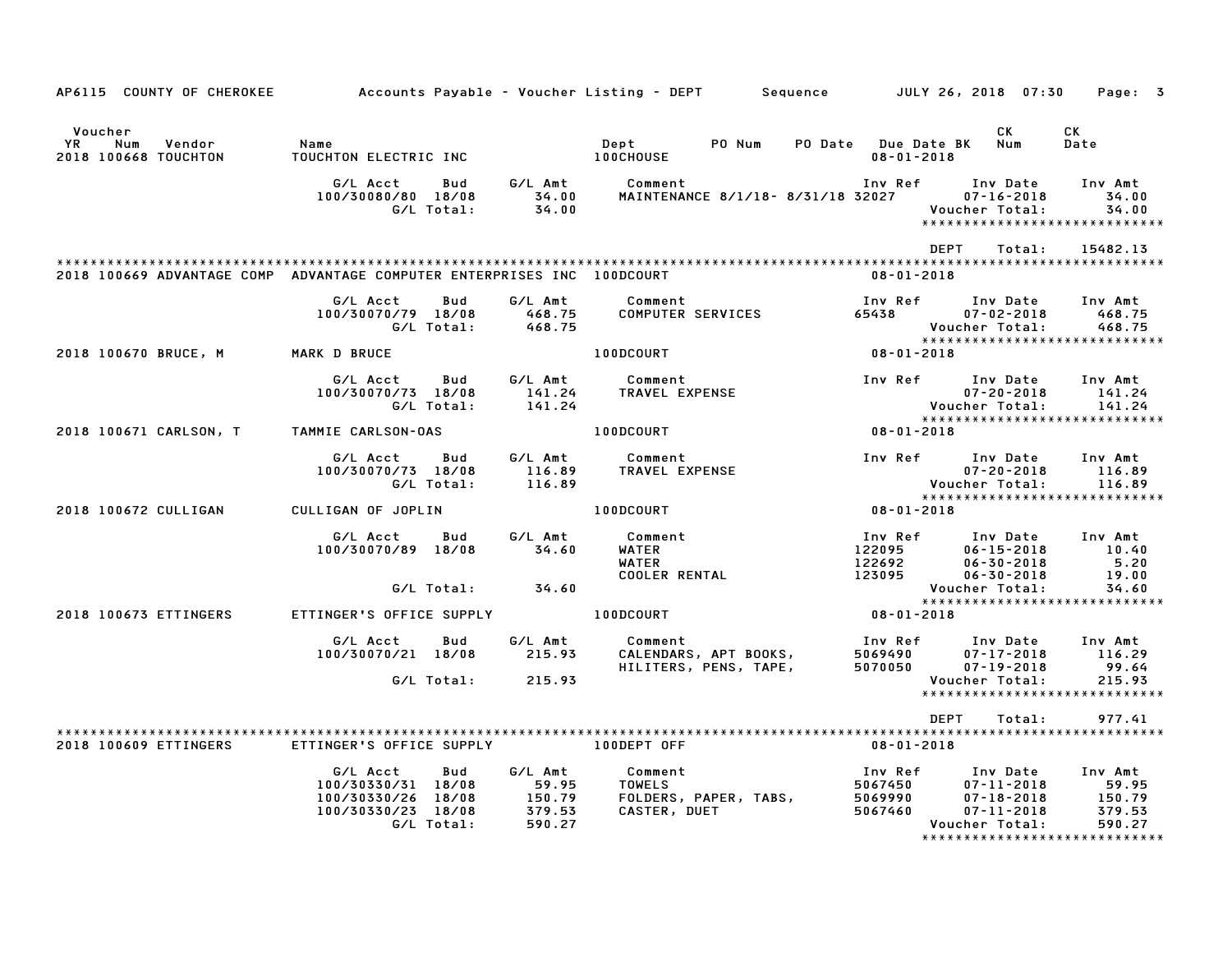| AP6115 COUNTY OF CHEROKEE                                               | Accounts Payable – Voucher Listing – DEPT         Sequence         JULY 26, 2018  07:30  |     |                                                |                                  |                                                |                                          |                                                                                                                   | Page: 3                                        |
|-------------------------------------------------------------------------|------------------------------------------------------------------------------------------|-----|------------------------------------------------|----------------------------------|------------------------------------------------|------------------------------------------|-------------------------------------------------------------------------------------------------------------------|------------------------------------------------|
| Voucher<br>YR.<br>Num<br>Vendor<br>2018 100668 TOUCHTON                 | Name<br>TOUCHTON ELECTRIC INC                                                            |     |                                                | Dept<br><b>100CHOUSE</b>         | PO Num                                         | $08 - 01 - 2018$                         | CK<br>PO Date Due Date BK Num                                                                                     | CK<br>Date                                     |
|                                                                         | G/L Acct<br>100/30080/80 18/08<br>G/L Total:                                             | Bud | G⁄L Amt<br>34.00<br>34.00                      | Comment                          | MAINTENANCE 8/1/18- 8/31/18 32027              | Inv Ref                                  | Inv Date<br>$07 - 16 - 2018$<br>Voucher Total:<br>******************************                                  | Inv Amt<br>34.00<br>34.00                      |
| 2018 100669 ADVANTAGE COMP ADVANTAGE COMPUTER ENTERPRISES INC 100DCOURT |                                                                                          |     |                                                |                                  |                                                | $08 - 01 - 2018$                         | <b>DEPT</b><br>Total:                                                                                             | 15482.13                                       |
|                                                                         | G/L Acct<br>100/30070/79 18/08<br>G/L Total:                                             | Bud | G/L Amt<br>468.75<br>468.75                    | Comment                          | COMPUTER SERVICES                              | Inv Ref<br>65438                         | Inv Date<br>$07 - 02 - 2018$<br>Voucher Total:                                                                    | Inv Amt<br>468.75<br>468.75                    |
| 2018 100670 BRUCE, M                                                    | <b>MARK D BRUCE</b>                                                                      |     |                                                | 100DCOURT                        |                                                | $08 - 01 - 2018$                         | *****************************                                                                                     |                                                |
|                                                                         | G/L Acct<br>100/30070/73 18/08<br>G/L Total:                                             | Bud | G/L Amt<br>141.24<br>141.24                    | <b>Comment</b><br>TRAVEL EXPENSE |                                                | Inv Ref                                  | Inv Date<br>$07 - 20 - 2018$<br>Voucher Total:                                                                    | Inv Amt<br>141.24<br>141.24                    |
| 2018 100671 CARLSON, T                                                  | TAMMIE CARLSON-OAS                                                                       |     |                                                | 100DCOURT                        |                                                | $08 - 01 - 2018$                         | *****************************                                                                                     |                                                |
|                                                                         | G/L Acct<br>100/30070/73 18/08<br>G/L Total:                                             | Bud | G/L Amt<br>116.89<br>116.89                    | Comment<br>TRAVEL EXPENSE        |                                                |                                          | Inv Ref Inv Date<br>$07 - 20 - 2018$<br>Voucher Total:                                                            | Inv Amt<br>116.89<br>116.89                    |
| 2018 100672 CULLIGAN                                                    | CULLIGAN OF JOPLIN                                                                       |     |                                                | 100DCOURT                        |                                                | $08 - 01 - 2018$                         | *****************************                                                                                     |                                                |
|                                                                         | G/L Acct<br>100/30070/89 18/08<br>G/L Total:                                             | Bud | G/L Amt<br>34.60<br>34.60                      | Comment<br>WATER<br><b>WATER</b> | COOLER RENTAL                                  | Inv Ref<br>122095<br>122692<br>123095    | Inv Date<br>$06 - 15 - 2018$<br>$06 - 30 - 2018$<br>$06 - 30 - 2018$<br>Voucher Total:                            | Inv Amt<br>10.40<br>5.20<br>19.00<br>34.60     |
| 2018 100673 ETTINGERS                                                   | ETTINGER'S OFFICE SUPPLY                                                                 |     |                                                | 100DCOURT                        |                                                | $08 - 01 - 2018$                         |                                                                                                                   |                                                |
|                                                                         | G/L Acct<br>100/30070/21 18/08                                                           | Bud | G/L Amt<br>215.93                              | Comment                          | CALENDARS, APT BOOKS,<br>HILITERS, PENS, TAPE, | Inv Ref<br>5069490<br>5070050            | Inv Date<br>$07 - 17 - 2018$<br>$07 - 19 - 2018$                                                                  | Inv Amt<br>116.29<br>99.64                     |
|                                                                         | G/L Total:                                                                               |     | 215.93                                         |                                  |                                                |                                          | Voucher Total:<br>*****************************                                                                   | 215.93                                         |
|                                                                         |                                                                                          |     |                                                |                                  |                                                |                                          | DEPT<br>Total:                                                                                                    | 977.41                                         |
| 2018 100609 ETTINGERS                                                   | ETTINGER'S OFFICE SUPPLY                                                                 |     |                                                | 100DEPT OFF                      |                                                | 08-01-2018                               |                                                                                                                   |                                                |
|                                                                         | G/L Acct<br>100/30330/31 18/08<br>100/30330/26 18/08<br>100/30330/23 18/08<br>G/L Total: | Bud | G/L Amt<br>59.95<br>150.79<br>379.53<br>590.27 | Comment<br>TOWELS                | FOLDERS, PAPER, TABS,<br>CASTER, DUET          | Inv Ref<br>5067450<br>5069990<br>5067460 | Inv Date<br>07-11-2018<br>$07 - 18 - 2018$<br>$07 - 11 - 2018$<br>Voucher Total:<br>***************************** | Inv Amt<br>59.95<br>150.79<br>379.53<br>590.27 |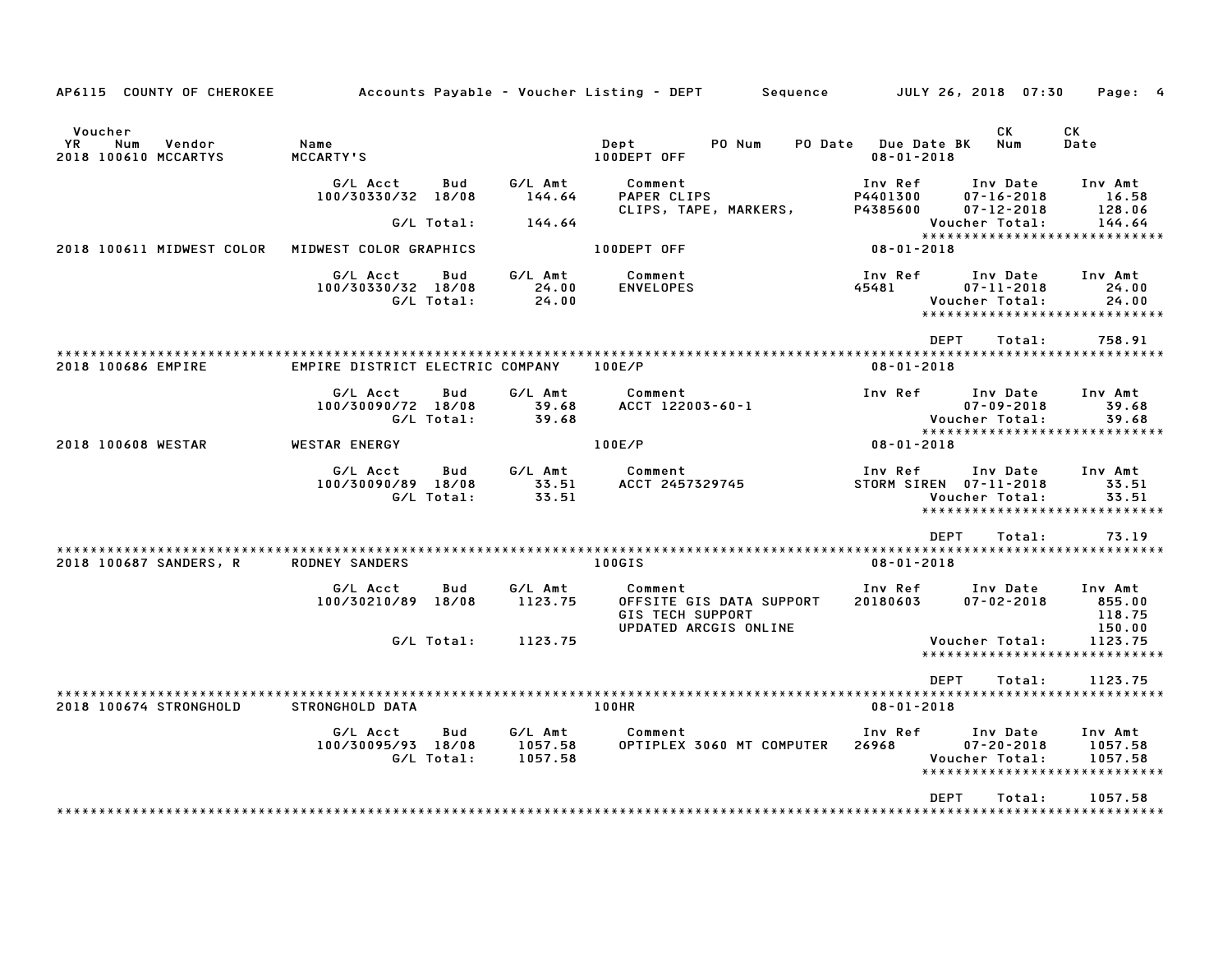| AP6115 COUNTY OF CHEROKEE                               |                                  |                   |                               | Accounts Payable – Voucher Listing – DEPT<br>Sequence                                   |                                                           | JULY 26, 2018 07:30                              | Page: 4                                                         |
|---------------------------------------------------------|----------------------------------|-------------------|-------------------------------|-----------------------------------------------------------------------------------------|-----------------------------------------------------------|--------------------------------------------------|-----------------------------------------------------------------|
| Voucher<br>Num<br>Vendor<br>YR.<br>2018 100610 MCCARTYS | Name<br><b>MCCARTY'S</b>         |                   |                               | PO Num<br>Dept<br>PO Date<br>100DEPT OFF                                                | <b>Due Date BK</b><br>$08 - 01 - 2018$                    | СK<br><b>Num</b>                                 | СK<br>Date                                                      |
|                                                         | G/L Acct<br>100/30330/32 18/08   | Bud               | G/L Amt<br>144.64             | Comment<br>PAPER CLIPS<br>CLIPS, TAPE, MARKERS,                                         | Inv Ref<br>P4401300<br>P4385600                           | Inv Date<br>$07 - 16 - 2018$<br>$07 - 12 - 2018$ | Inv Amt<br>16.58<br>128.06                                      |
|                                                         |                                  | G/L Total:        | 144.64                        |                                                                                         |                                                           | Voucher Total:                                   | 144.64<br>*****************************                         |
| 2018 100611 MIDWEST COLOR                               | MIDWEST COLOR GRAPHICS           |                   |                               | 100DEPT OFF                                                                             | $08 - 01 - 2018$                                          |                                                  |                                                                 |
|                                                         | G/L Acct<br>100/30330/32 18/08   | Bud<br>G/L Total: | G/L Amt<br>24.00<br>24.00     | Comment<br><b>ENVELOPES</b>                                                             | Inv Ref<br>45481                                          | Inv Date<br>$07 - 11 - 2018$<br>Voucher Total:   | Inv Amt<br>24.00<br>24.00<br>*****************************      |
|                                                         |                                  |                   |                               |                                                                                         | <b>DEPT</b>                                               | Total:                                           | 758.91                                                          |
| 2018 100686 EMPIRE                                      | EMPIRE DISTRICT ELECTRIC COMPANY |                   |                               | 100E/P                                                                                  | $08 - 01 - 2018$                                          |                                                  |                                                                 |
|                                                         | G/L Acct<br>100/30090/72 18/08   | Bud<br>G/L Total: | G/L Amt<br>39.68<br>39.68     | Comment<br>ACCT 122003-60-1                                                             | Inv Ref                                                   | Inv Date<br>$07 - 09 - 2018$<br>Voucher Total:   | Inv Amt<br>39.68<br>39.68<br>*****************************      |
| 2018 100608 WESTAR                                      | WESTAR ENERGY                    |                   |                               | 100E/P                                                                                  | $08 - 01 - 2018$                                          |                                                  |                                                                 |
|                                                         | G/L Acct<br>100/30090/89 18/08   | Bud<br>G/L Total: | G/L Amt<br>33.51<br>33.51     | Comment<br>ACCT 2457329745                                                              | Inv Ref<br>STORM SIREN 07-11-2018                         | Inv Date<br>Voucher Total:<br>*****************  | Inv Amt<br>33.51<br>33.51                                       |
|                                                         |                                  |                   |                               |                                                                                         | <b>DEPT</b>                                               | Total:                                           | 73.19                                                           |
| 2018 100687 SANDERS, R                                  | <b>RODNEY SANDERS</b>            |                   |                               | 100GIS                                                                                  | * * * * * * * * * * * * * * * * * * *<br>$08 - 01 - 2018$ |                                                  | * * * * * * * * * * * *                                         |
|                                                         | G/L Acct<br>100/30210/89 18/08   | Bud               | G/L Amt<br>1123.75            | Comment<br>OFFSITE GIS DATA SUPPORT<br><b>GIS TECH SUPPORT</b><br>UPDATED ARCGIS ONLINE | Inv Ref<br>20180603                                       | Inv Date<br>$07 - 02 - 2018$                     | Inv Amt<br>855.00<br>118.75<br>150.00                           |
|                                                         |                                  | G/L Total:        | 1123.75                       |                                                                                         |                                                           | Voucher Total:                                   | 1123.75<br>*****************************                        |
|                                                         |                                  |                   |                               |                                                                                         | <b>DEPT</b>                                               | Total:                                           | 1123.75                                                         |
| 2018 100674 STRONGHOLD                                  | <b>STRONGHOLD DATA</b>           |                   |                               | 100HR                                                                                   | $08 - 01 - 2018$                                          |                                                  | ************************                                        |
|                                                         | G/L Acct<br>100/30095/93 18/08   | Bud<br>G/L Total: | G/L Amt<br>1057.58<br>1057.58 | Comment<br>OPTIPLEX 3060 MT COMPUTER                                                    | Inv Ref<br>26968                                          | Inv Date<br>$07 - 20 - 2018$<br>Voucher Total:   | Inv Amt<br>1057.58<br>1057.58<br>****************************** |
|                                                         |                                  |                   |                               |                                                                                         | <b>DEPT</b>                                               | Total:                                           | 1057.58                                                         |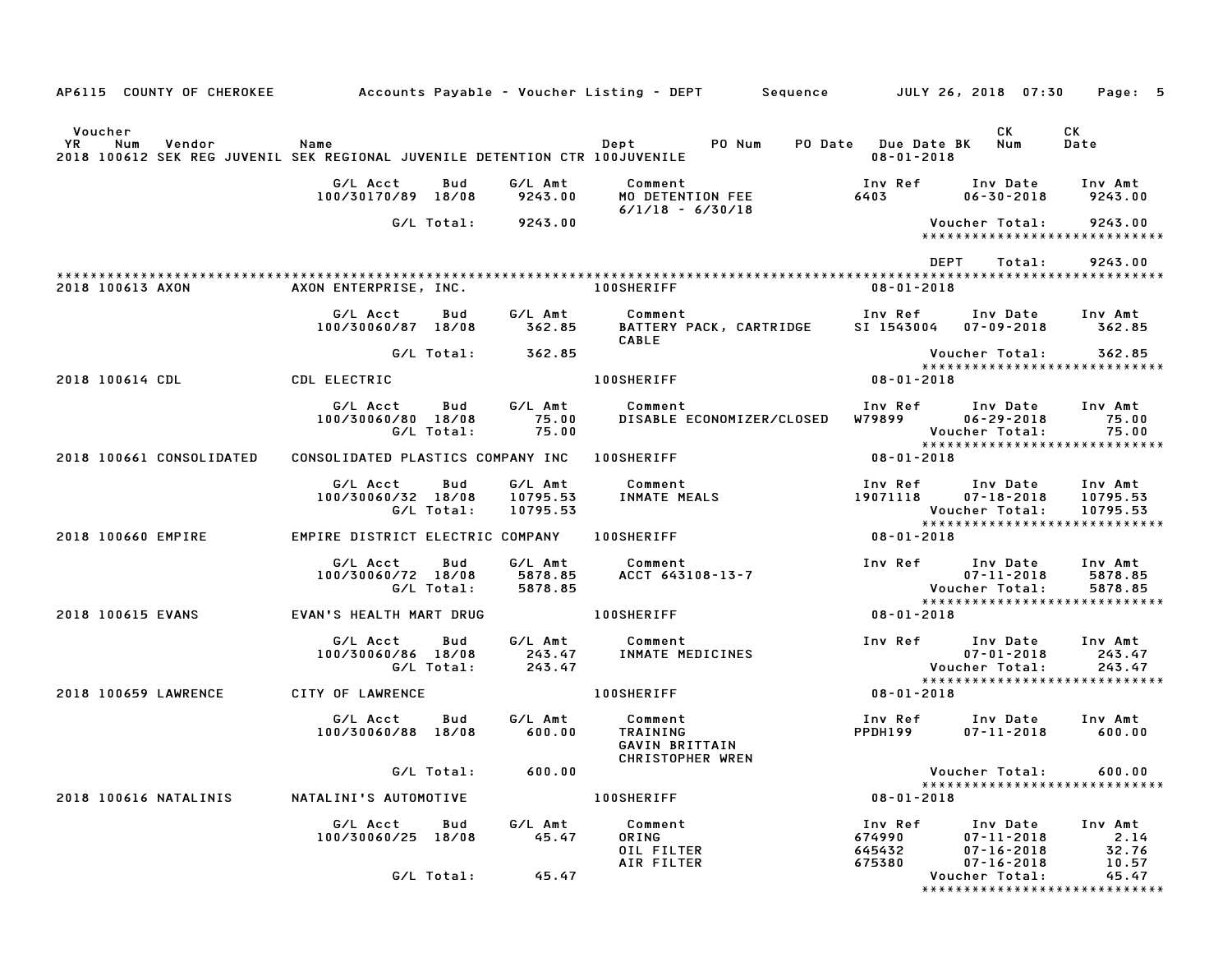| AP6115 COUNTY OF CHEROKEE                                                                                      |                                   |                   |                                 | Accounts Payable – Voucher Listing – DEPT       Sequence         JULY 26, 2018  07:30 |                                         |                                                                                 | Page: 5                         |
|----------------------------------------------------------------------------------------------------------------|-----------------------------------|-------------------|---------------------------------|---------------------------------------------------------------------------------------|-----------------------------------------|---------------------------------------------------------------------------------|---------------------------------|
| Voucher<br>YR.<br>Num<br>Vendor<br>2018 100612 SEK REG JUVENIL SEK REGIONAL JUVENILE DETENTION CTR 100JUVENILE | Name                              |                   |                                 | PO Num<br>Dept                                                                        | PO Date Due Date BK<br>$08 - 01 - 2018$ | CK<br>Num                                                                       | CK<br>Date                      |
|                                                                                                                | G/L Acct<br>100/30170/89 18/08    | Bud               | G/L Amt<br>9243.00              | Comment<br>MO DETENTION FEE<br>$6/1/18 - 6/30/18$                                     | Inv Ref<br>6403                         | Inv Date<br>$06 - 30 - 2018$                                                    | Inv Amt<br>9243.00              |
|                                                                                                                |                                   | G/L Total:        | 9243.00                         |                                                                                       |                                         | Voucher Total:<br>*****************************                                 | 9243.00                         |
|                                                                                                                |                                   |                   |                                 |                                                                                       |                                         | <b>DEPT</b><br>Total:                                                           | 9243.00                         |
| 2018 100613 AXON                                                                                               | AXON ENTERPRISE, INC.             |                   |                                 | <b>100SHERIFF</b>                                                                     | $08 - 01 - 2018$                        |                                                                                 |                                 |
|                                                                                                                | G/L Acct<br>100/30060/87 18/08    | Bud               | G/L Amt<br>362.85               | Comment<br>BATTERY PACK, CARTRIDGE<br>CABLE                                           | Inv Ref<br>SI 1543004                   | Inv Date<br>$07 - 09 - 2018$                                                    | Inv Amt<br>362.85               |
|                                                                                                                |                                   | G/L Total:        | 362.85                          |                                                                                       |                                         | Voucher Total:<br>*****************************                                 | 362.85                          |
| 2018 100614 CDL                                                                                                | CDL ELECTRIC                      |                   |                                 | <b>100SHERIFF</b>                                                                     | 08-01-2018                              |                                                                                 |                                 |
|                                                                                                                | G/L Acct<br>100/30060/80 18/08    | Bud<br>G/L Total: | G/L Amt<br>75.00<br>75.00       | Comment<br>DISABLE ECONOMIZER/CLOSED                                                  | W79899 V                                | Inv Ref Inv Date<br>$06 - 29 - 2018$<br>Voucher Total:                          | Inv Amt<br>75.00<br>75.00       |
| 2018 100661 CONSOLIDATED                                                                                       | CONSOLIDATED PLASTICS COMPANY INC |                   |                                 | <b>100SHERIFF</b>                                                                     | $08 - 01 - 2018$                        | *****************************                                                   |                                 |
|                                                                                                                | G/L Acct<br>100/30060/32 18/08    | Bud<br>G/L Total: | G/L Amt<br>10795.53<br>10795.53 | Comment<br>INMATE MEALS                                                               | Inv Ref<br>19071118                     | Inv Date<br>$07 - 18 - 2018$<br>Voucher Total:<br>***************************** | Inv Amt<br>10795.53<br>10795.53 |
| 2018 100660 EMPIRE                                                                                             | EMPIRE DISTRICT ELECTRIC COMPANY  |                   |                                 | <b>100SHERIFF</b>                                                                     | $08 - 01 - 2018$                        |                                                                                 |                                 |
|                                                                                                                | G/L Acct<br>100/30060/72 18/08    | Bud<br>G/L Total: | G/L Amt<br>5878.85<br>5878.85   | Comment<br>ACCT 643108-13-7                                                           | Inv Ref                                 | Inv Date<br>$07 - 11 - 2018$<br>Voucher Total:<br>***************************** | Inv Amt<br>5878.85<br>5878.85   |
| 2018 100615 EVANS                                                                                              | EVAN'S HEALTH MART DRUG           |                   |                                 | <b>100SHERIFF</b>                                                                     | $08 - 01 - 2018$                        |                                                                                 |                                 |
|                                                                                                                | G/L Acct<br>100/30060/86 18/08    | Bud<br>G/L Total: | G/L Amt<br>243.47<br>243.47     | Comment<br>INMATE MEDICINES                                                           | Inv Ref                                 | Inv Date<br>$07 - 01 - 2018$<br>Voucher Total:<br>***************************** | Inv Amt<br>243.47<br>243.47     |
| 2018 100659 LAWRENCE                                                                                           | CITY OF LAWRENCE                  |                   |                                 | <b>100SHERIFF</b>                                                                     | $08 - 01 - 2018$                        |                                                                                 |                                 |
|                                                                                                                | G/L Acct<br>100/30060/88 18/08    | Bud               | G/L Amt<br>600.00               | Comment<br>TRAINING<br>GAVIN BRITTAIN<br>CHRISTOPHER WREN                             | Inv Ref<br>PPDH199                      | Inv Date<br>$07 - 11 - 2018$                                                    | Inv Amt<br>600.00               |
|                                                                                                                |                                   | G/L Total:        | 600.00                          |                                                                                       |                                         | Voucher Total:<br>*****************************                                 | 600.00                          |
| 2018 100616 NATALINIS                                                                                          | NATALINI'S AUTOMOTIVE             |                   |                                 | <b>100SHERIFF</b>                                                                     | $08 - 01 - 2018$                        |                                                                                 |                                 |
|                                                                                                                | G/L Acct<br>100/30060/25 18/08    | Bud               | G/L Amt<br>45.47                | Comment<br>ORING<br>OIL FILTER                                                        | Inv Ref<br>674990<br>645432             | Inv Date<br>$07 - 11 - 2018$<br>$07 - 16 - 2018$                                | Inv Amt<br>2.14<br>32.76        |
|                                                                                                                |                                   | G/L Total:        | 45.47                           | AIR FILTER                                                                            | 675380                                  | $07 - 16 - 2018$<br>Voucher Total:<br>*****************************             | 10.57<br>45.47                  |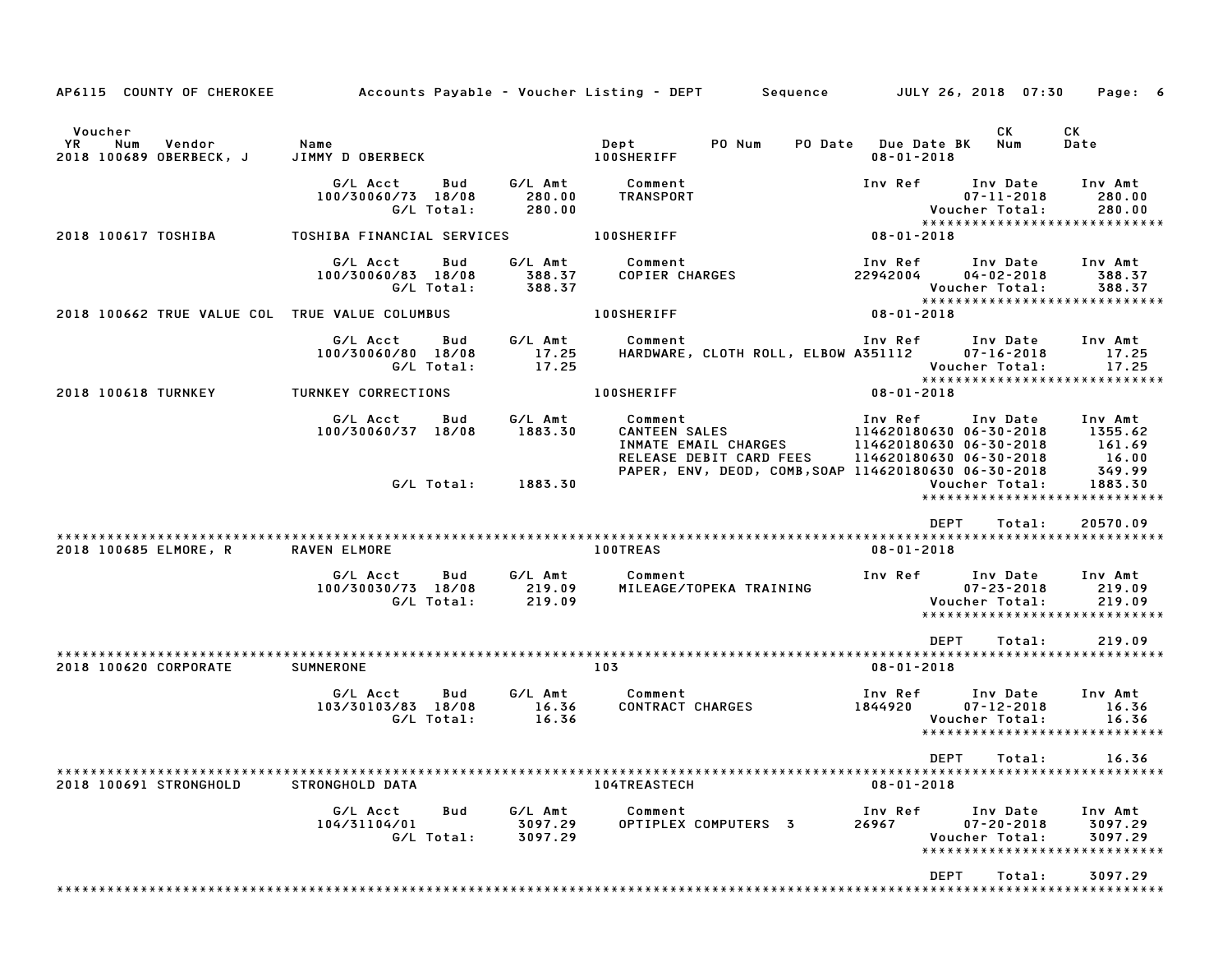| AP6115 COUNTY OF CHEROKEE                                        |                                                     |                               | Accounts Payable – Voucher Listing – DEPT         Sequence         JULY 26, 2018  07:30 |                                             |                                                                                              | Page: 6                               |
|------------------------------------------------------------------|-----------------------------------------------------|-------------------------------|-----------------------------------------------------------------------------------------|---------------------------------------------|----------------------------------------------------------------------------------------------|---------------------------------------|
| Voucher<br><b>YR</b><br>Num<br>Vendor<br>2018 100689 OBERBECK, J | Name<br>JIMMY D OBERBECK                            |                               | Dept<br>PO Num<br><b>100SHERIFF</b>                                                     | PO Date Due Date BK Num<br>$08 - 01 - 2018$ | CK                                                                                           | CK<br>Date                            |
|                                                                  | G/L Acct<br>Bud<br>100/30060/73 18/08<br>G/L Total: | G/L Amt<br>280.00<br>280.00   | Comment<br>TRANSPORT                                                                    | Inv Ref                                     | Inv Date<br>$07 - 11 - 2018$<br>Voucher Total:<br>*****************************              | Inv Amt<br>280.00<br>280.00           |
| 2018 100617 TOSHIBA                                              | TOSHIBA FINANCIAL SERVICES                          |                               | <b>100SHERIFF</b>                                                                       | $08 - 01 - 2018$                            |                                                                                              |                                       |
|                                                                  | G/L Acct<br>Bud<br>100/30060/83 18/08<br>G/L Total: | G/L Amt<br>388.37<br>388.37   | Comment<br>COPIER CHARGES                                                               | 22942004                                    | Inv Ref      Inv Date<br>$04 - 02 - 2018$<br>Voucher Total:<br>***************************** | Inv Amt<br>388.37<br>388.37           |
| 2018 100662 TRUE VALUE COL TRUE VALUE COLUMBUS                   |                                                     |                               | <b>100SHERIFF</b>                                                                       | 08-01-2018                                  |                                                                                              |                                       |
|                                                                  | G/L Acct<br>Bud<br>100/30060/80 18/08<br>G/L Total: | G/L Amt<br>17.25<br>17.25     | Comment<br>HARDWARE, CLOTH ROLL, ELBOW A351112                                          |                                             | Inv Ref Inv Date<br>$07 - 16 - 2018$<br>Voucher Total:<br>******************************     | Inv Amt<br>17.25<br>17.25             |
| 2018 100618 TURNKEY                                              | TURNKEY CORRECTIONS                                 |                               | <b>100SHERIFF</b>                                                                       | 08-01-2018                                  |                                                                                              |                                       |
|                                                                  | G/L Acct<br>Bud<br>100/30060/37 18/08               | G/L Amt<br>1883.30            | Comment<br>CANTEEN SALES<br>INMATE EMAIL CHARGES<br>RELEASE DEBIT CARD FEES             | Inv Ref                                     | Inv Date<br>114620180630 06-30-2018<br>114620180630 06-30-2018<br>114620180630 06-30-2018    | Inv Amt<br>1355.62<br>161.69<br>16.00 |
|                                                                  |                                                     | G/L Total: 1883.30            | PAPER, ENV, DEOD, COMB, SOAP 114620180630 06-30-2018                                    |                                             | Voucher Total:<br>*****************************                                              | 349.99<br>1883.30                     |
| 2018 100685 ELMORE, R                                            | RAVEN ELMORE                                        |                               | <b>100TREAS</b>                                                                         | $08 - 01 - 2018$                            | <b>DEPT</b><br>Total:                                                                        | 20570.09                              |
|                                                                  | G/L Acct<br>Bud<br>100/30030/73 18/08<br>G/L Total: | G/L Amt<br>219.09<br>219.09   | Comment<br>MILEAGE/TOPEKA TRAINING                                                      | Inv Ref                                     | Inv Date<br>$07 - 23 - 2018$<br>Voucher Total:<br>*****************************              | Inv Amt<br>219.09<br>219.09           |
| 2018 100620 CORPORATE                                            | <b>SUMNERONE</b>                                    |                               | 103                                                                                     | $08 - 01 - 2018$                            | <b>DEPT</b><br>Total:                                                                        | 219.09                                |
|                                                                  | G/L Acct<br>Bud<br>103/30103/83 18/08<br>G/L Total: | G/L Amt<br>16.36<br>16.36     | Comment<br><b>CONTRACT CHARGES</b>                                                      | Inv Ref<br>1844920                          | Inv Date<br>$07 - 12 - 2018$<br>Voucher Total:<br>*****************************              | Inv Amt<br>16.36<br>16.36             |
| 2018 100691 STRONGHOLD                                           | STRONGHOLD DATA                                     |                               | <b>104TREASTECH</b>                                                                     | $08 - 01 - 2018$                            | DEPT Total: 16.36                                                                            |                                       |
|                                                                  | G/L Acct<br>Bud<br>104/31104/01<br>G/L Total:       | G/L Amt<br>3097.29<br>3097.29 | Comment<br>OPTIPLEX COMPUTERS 3                                                         | Inv Ref<br>26967                            | Inv Date<br>$07 - 20 - 2018$<br>Voucher Total:<br>*****************************              | Inv Amt<br>3097.29<br>3097.29         |
|                                                                  |                                                     |                               |                                                                                         |                                             | DEPT<br>Total:                                                                               | 3097.29                               |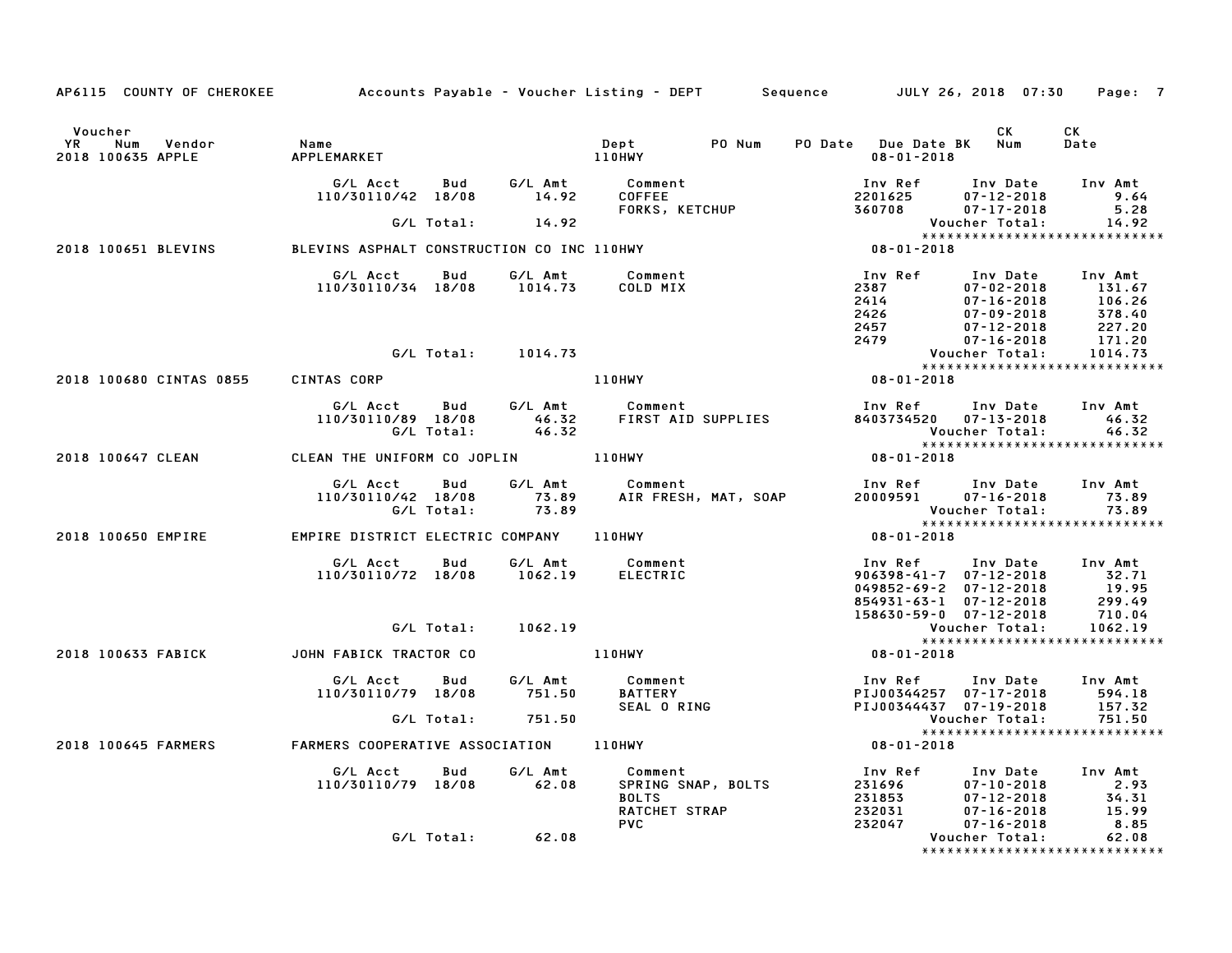| AP6115 COUNTY OF CHEROKEE Accounts Payable - Voucher Listing - DEPT Sequence JULY 26, 2018 07:30 |                                                                |            |                      |                                                                              |        |                                                                                                                                                                          |                                                                    | Page: 7                                                                                                                                                                               |
|--------------------------------------------------------------------------------------------------|----------------------------------------------------------------|------------|----------------------|------------------------------------------------------------------------------|--------|--------------------------------------------------------------------------------------------------------------------------------------------------------------------------|--------------------------------------------------------------------|---------------------------------------------------------------------------------------------------------------------------------------------------------------------------------------|
| Voucher<br>Vendor<br><b>YR</b><br>Num<br>2018 100635 APPLE                                       | Name                                                           |            |                      | Dept                                                                         | PO Num | PO Date Due Date BK Num<br>$08 - 01 - 2018$                                                                                                                              | CK                                                                 | CK<br>Date                                                                                                                                                                            |
|                                                                                                  | 110/30110/42 18/08 14.92                                       |            |                      | G/L Acct  Bud  G/L Amt  Comment<br>110/30110/42 18/08  14.92  COFFEE         |        |                                                                                                                                                                          |                                                                    | Inv Amt<br>9.64                                                                                                                                                                       |
|                                                                                                  |                                                                |            | $G/L$ Total: $14.92$ |                                                                              |        |                                                                                                                                                                          | Voucher Total:                                                     | 5.28<br>14.92                                                                                                                                                                         |
| 2018 100651 BLEVINS                                                                              | G/L TOTAL: 14.92<br>BLEVINS ASPHALT CONSTRUCTION CO INC 110HWY |            |                      |                                                                              |        | $08 - 01 - 2018$                                                                                                                                                         |                                                                    |                                                                                                                                                                                       |
|                                                                                                  | G/L Acct   Bud   G/L Amt<br>110/30110/34 18/08 1014.73         |            |                      | Comment<br>COLD MIX                                                          |        | Inv Ref Inv Date Inv Amt                                                                                                                                                 |                                                                    | 100 Ref 100 Date Inv Amt<br>2387 07-02-2018 131.67<br>2426 07-09-2018 106.26<br>2457 07-12-2018 227.20<br>2479 07-16-2018 171.20<br>Voucher Total: 1014.73<br>20.01.20.20.2018 171.20 |
|                                                                                                  |                                                                |            | G/L Total: 1014.73   |                                                                              |        |                                                                                                                                                                          |                                                                    |                                                                                                                                                                                       |
|                                                                                                  |                                                                |            |                      |                                                                              |        |                                                                                                                                                                          |                                                                    |                                                                                                                                                                                       |
| 2018 100680 CINTAS 0855 CINTAS CORP                                                              |                                                                |            |                      | 110HWY                                                                       |        | $08 - 01 - 2018$                                                                                                                                                         |                                                                    |                                                                                                                                                                                       |
|                                                                                                  |                                                                |            | G/L Total: 46.32     |                                                                              |        | Inv Ref Inv Date<br>8403734520 07-13-2018                                                                                                                                | Voucher Total:                                                     | Inv Amt<br>46.32<br>46.32                                                                                                                                                             |
| 2018 100647 CLEAN                                                                                | CLEAN THE UNIFORM CO JOPLIN 110HWY                             |            |                      |                                                                              |        | $08 - 01 - 2018$                                                                                                                                                         |                                                                    | *****************************                                                                                                                                                         |
|                                                                                                  | G/L Acct Bud<br>110/30110/42 18/08<br>G/L Total: 73.89         |            |                      | G/L Amt Comment<br>Comment<br>AIR FRESH, MAT, SOAP                           |        | Inv Ref Inv Date Inv Amt<br>$20009591$ $07 - 16 - 2018$                                                                                                                  |                                                                    | 73.89<br>Voucher Total: 73.89<br>***************************                                                                                                                          |
| 2018 100650 EMPIRE EMPIRE DISTRICT ELECTRIC COMPANY 110HWY                                       |                                                                |            |                      |                                                                              |        | $08 - 01 - 2018$                                                                                                                                                         |                                                                    |                                                                                                                                                                                       |
|                                                                                                  | 110/30110/72 18/08 1062.19                                     |            |                      | G/L Acct Bud G/L Amt Comment<br>ELECTRIC                                     |        | Inv Ref      Inv Date    Inv Amt<br>906398-41-7   07-12-2018            32.71<br>049852-69-2 07-12-2018 19.95<br>854931-63-1 07-12-2018 299.49<br>158630-59-0 07-12-2018 |                                                                    | 710.04                                                                                                                                                                                |
|                                                                                                  |                                                                | G/L Total: | 1062.19              |                                                                              |        |                                                                                                                                                                          | Voucher Total:                                                     | 1062.19                                                                                                                                                                               |
| 2018 100633 FABICK JOHN FABICK TRACTOR CO                                                        |                                                                |            |                      | 1062.19<br>110HWY<br>G/L Amt –                                               |        | $08 - 01 - 2018$                                                                                                                                                         |                                                                    |                                                                                                                                                                                       |
|                                                                                                  | G/L Acct Bud<br>110/30110/79 18/08                             |            | G/L Amt<br>751.50    | Comment                                                                      |        | Inv Ref<br>PIJ00344257 07-17-2018 594.18<br>PIJ00344437 07-19-2018                                                                                                       | Inv Date Inv Amt                                                   | 157.32                                                                                                                                                                                |
|                                                                                                  |                                                                |            | G/L Total: 751.50    |                                                                              |        |                                                                                                                                                                          | Voucher Total:                                                     | 751.50                                                                                                                                                                                |
| 2018 100645 FARMERS                                                                              | FARMERS COOPERATIVE ASSOCIATION 110HWY                         |            |                      |                                                                              |        | $08 - 01 - 2018$                                                                                                                                                         |                                                                    |                                                                                                                                                                                       |
|                                                                                                  | G/L Acct   Bud<br>110/30110/79 18/08 62.08                     |            | G/L Amt              | Comment<br>SPRING SNAP, BOLTS<br><b>BOLTS</b><br>RATCHET STRAP<br><b>PVC</b> |        | Inv Ref Inv Date Inv Amt                                                                                                                                                 | -1 2018<br>07-12-2018 2.93<br>07-16-2018 15.99<br>$07 - 16 - 2018$ | 8.85                                                                                                                                                                                  |
|                                                                                                  |                                                                |            | G/L Total: 62.08     |                                                                              |        |                                                                                                                                                                          | Voucher Total:                                                     | 62.08<br>*******************************                                                                                                                                              |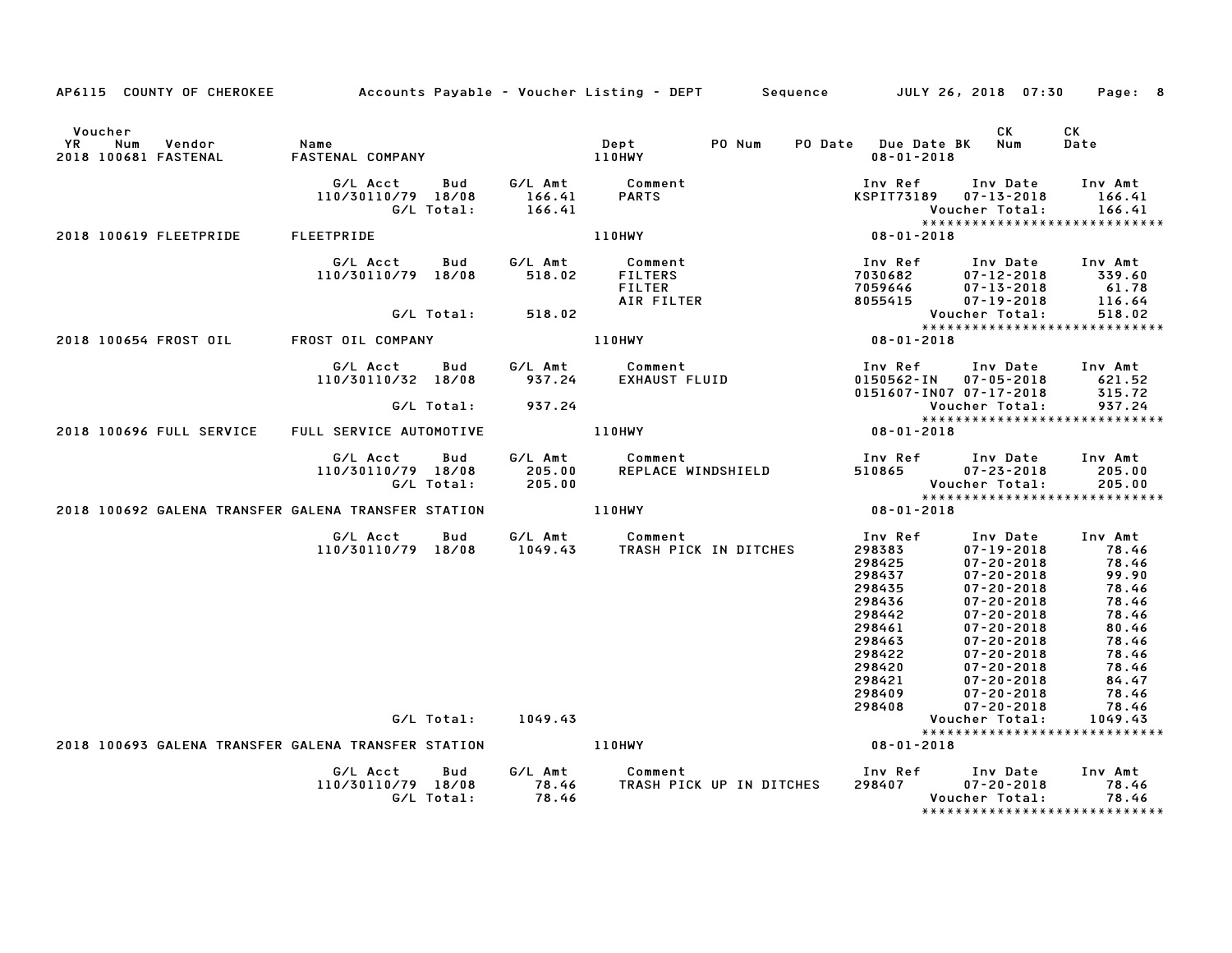| AP6115 COUNTY OF CHEROKEE                                                   |                                |                   |                             | Accounts Payable - Voucher Listing - DEPT                | Sequence JULY 26, 2018 07:30                                                                                                              |                                                                                                                                                                                                                                                                                                | Page: 8                                                                                                                                                                  |
|-----------------------------------------------------------------------------|--------------------------------|-------------------|-----------------------------|----------------------------------------------------------|-------------------------------------------------------------------------------------------------------------------------------------------|------------------------------------------------------------------------------------------------------------------------------------------------------------------------------------------------------------------------------------------------------------------------------------------------|--------------------------------------------------------------------------------------------------------------------------------------------------------------------------|
| Voucher<br>YR<br>Num<br>Vendor<br>2018 100681 FASTENAL                      | Name<br>FASTENAL COMPANY       |                   |                             | PO Num<br>Dept<br>110HWY                                 | PO Date Due Date BK<br>$08 - 01 - 2018$                                                                                                   | СK<br>Num                                                                                                                                                                                                                                                                                      | СK<br>Date                                                                                                                                                               |
|                                                                             | G/L Acct<br>110/30110/79 18/08 | Bud<br>G/L Total: | G/L Amt<br>166.41<br>166.41 | Comment<br><b>PARTS</b>                                  | Inv Ref<br><b>KSPIT73189</b>                                                                                                              | Inv Date<br>$07 - 13 - 2018$<br>Voucher Total:                                                                                                                                                                                                                                                 | Inv Amt<br>166.41<br>166.41                                                                                                                                              |
| 2018 100619 FLEETPRIDE                                                      | FLEETPRIDE                     |                   |                             | <b>110HWY</b>                                            | 08-01-2018                                                                                                                                |                                                                                                                                                                                                                                                                                                | *****************************                                                                                                                                            |
|                                                                             | G/L Acct<br>110/30110/79 18/08 | Bud               | G/L Amt<br>518.02           | Comment<br><b>FILTERS</b><br><b>FILTER</b><br>AIR FILTER | Inv Ref<br>7030682<br>7059646<br>8055415                                                                                                  | Inv Date<br>$07 - 12 - 2018$<br>$07 - 13 - 2018$<br>$07 - 19 - 2018$                                                                                                                                                                                                                           | Inv Amt<br>339.60<br>61.78<br>116.64                                                                                                                                     |
|                                                                             |                                | G/L Total:        | 518.02                      |                                                          |                                                                                                                                           | Voucher Total:                                                                                                                                                                                                                                                                                 | 518.02<br>*****************************                                                                                                                                  |
| 2018 100654 FROST OIL                                                       | FROST OIL COMPANY              |                   |                             | 110HWY                                                   | $08 - 01 - 2018$                                                                                                                          |                                                                                                                                                                                                                                                                                                |                                                                                                                                                                          |
|                                                                             | G/L Acct<br>110/30110/32 18/08 | <b>Bud</b>        | 937.24                      | G/L Amt Comment<br><b>EXHAUST FLUID</b>                  | Inv Ref<br>0150562-IN<br>0151607-IN07 07-17-2018                                                                                          | Inv Date<br>$07 - 05 - 2018$                                                                                                                                                                                                                                                                   | Inv Amt<br>621.52<br>315.72                                                                                                                                              |
|                                                                             |                                | G/L Total:        | 937.24                      |                                                          |                                                                                                                                           | Voucher Total:                                                                                                                                                                                                                                                                                 | 937.24                                                                                                                                                                   |
| 2018 100696 FULL SERVICE                                                    | FULL SERVICE AUTOMOTIVE        |                   |                             | <b>110HWY</b>                                            | $08 - 01 - 2018$                                                                                                                          |                                                                                                                                                                                                                                                                                                | *****************************                                                                                                                                            |
|                                                                             | G/L Acct<br>110/30110/79 18/08 | Bud<br>G/L Total: | G/L Amt<br>205.00<br>205.00 | Comment<br>REPLACE WINDSHIELD                            | Inv Ref     Inv Date<br>510865                                                                                                            | $07 - 23 - 2018$<br>Voucher Total:                                                                                                                                                                                                                                                             | Inv Amt<br>205.00<br>205.00                                                                                                                                              |
| 2018 100692 GALENA TRANSFER GALENA TRANSFER STATION                         |                                |                   |                             | 110HWY                                                   | $08 - 01 - 2018$                                                                                                                          |                                                                                                                                                                                                                                                                                                | ******************************                                                                                                                                           |
|                                                                             | G/L Acct<br>110/30110/79 18/08 | Bud<br>G/L Total: | 1049.43                     | G/L Amt Comment<br>1049.43 TRASH PICK IN DITCHES         | Inv Ref<br>298383<br>298425<br>298437<br>298435<br>298436<br>298442<br>298461<br>298463<br>298422<br>298420<br>298421<br>298409<br>298408 | Inv Date<br>$07 - 19 - 2018$<br>$07 - 20 - 2018$<br>$07 - 20 - 2018$<br>$07 - 20 - 2018$<br>$07 - 20 - 2018$<br>$07 - 20 - 2018$<br>$07 - 20 - 2018$<br>$07 - 20 - 2018$<br>$07 - 20 - 2018$<br>$07 - 20 - 2018$<br>$07 - 20 - 2018$<br>$07 - 20 - 2018$<br>$07 - 20 - 2018$<br>Voucher Total: | Inv Amt<br>78.46<br>78.46<br>99.90<br>78.46<br>78.46<br>78.46<br>80.46<br>78.46<br>78.46<br>78.46<br>84.47<br>78.46<br>78.46<br>1049.43<br>***************************** |
| 2018 100693 GALENA TRANSFER GALENA TRANSFER STATION THE MUST MADE RESIDENCY |                                |                   |                             |                                                          | 08-01-2018                                                                                                                                |                                                                                                                                                                                                                                                                                                |                                                                                                                                                                          |
|                                                                             | G/L Acct<br>110/30110/79 18/08 | Bud<br>G/L Total: | G/L Amt<br>78.46<br>78.46   | Comment<br>TRASH PICK UP IN DITCHES                      | Inv Ref Inv Date<br>298407                                                                                                                | 07-20-2018<br>Voucher Total:                                                                                                                                                                                                                                                                   | Inv Amt<br>78.46<br>78.46<br>*****************************                                                                                                               |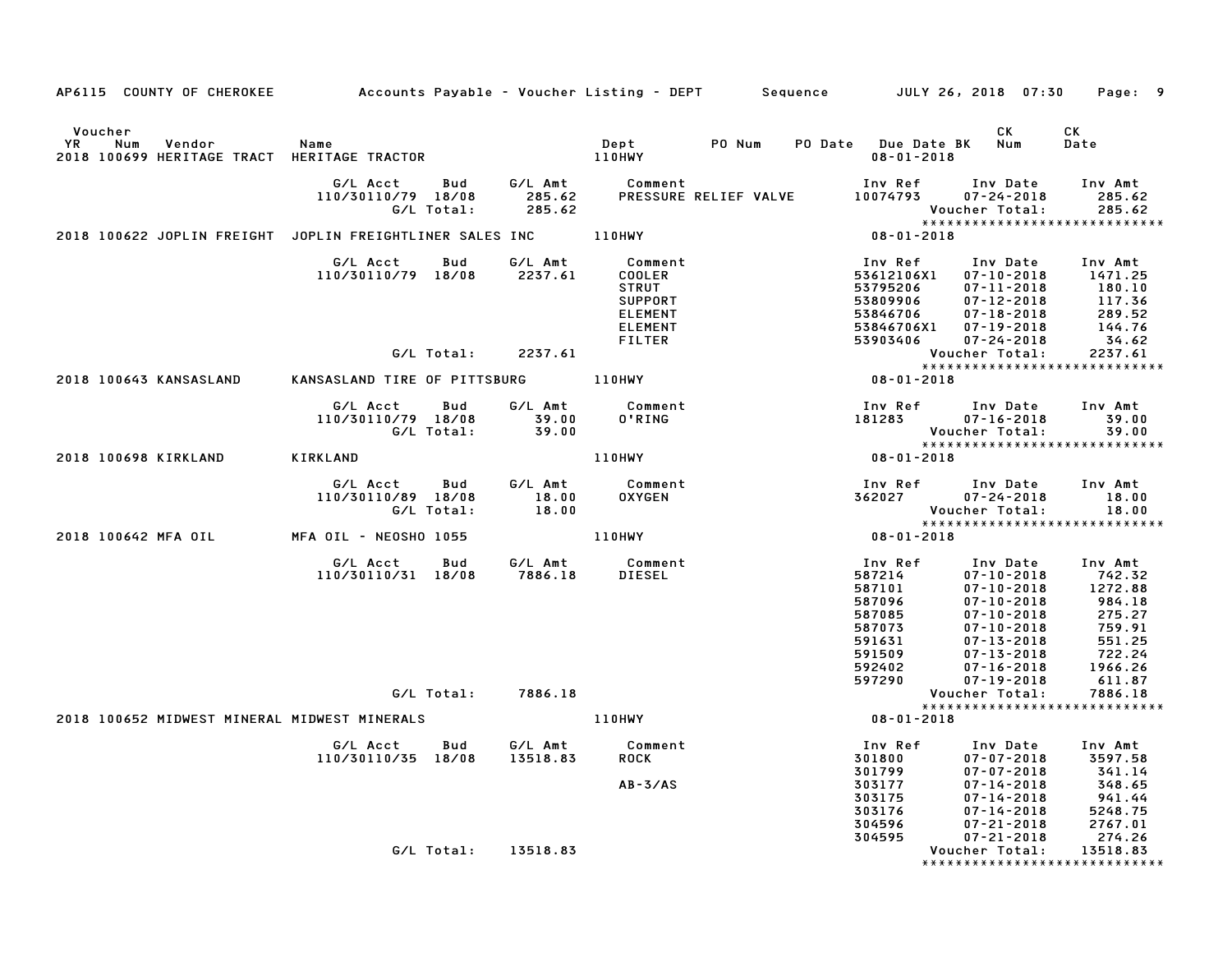| AP6115 COUNTY OF CHEROKEE Accounts Payable – Voucher Listing – DEPT Sequence JULY 26, 2018 07:30 Page: 9 |                                                                              |            |                                                          |                                                                                                    |                                          |                                                                                         |                                                                                                                                                                                                   |                                                                     |
|----------------------------------------------------------------------------------------------------------|------------------------------------------------------------------------------|------------|----------------------------------------------------------|----------------------------------------------------------------------------------------------------|------------------------------------------|-----------------------------------------------------------------------------------------|---------------------------------------------------------------------------------------------------------------------------------------------------------------------------------------------------|---------------------------------------------------------------------|
| Voucher<br>YR<br>Num<br>Vendor<br>2018 100699 HERITAGE TRACT HERITAGE TRACTOR                            | Name                                                                         |            |                                                          | <b>Dept</b><br>110HWY                                                                              | PO Num                                   | $08 - 01 - 2018$                                                                        | <b>CK</b><br>PO Date Due Date BK Num                                                                                                                                                              | CK<br>Date                                                          |
|                                                                                                          | G/L Acct Bud<br>110/30110/79 18/08<br>G/L Total:                             |            | G∕L Amt<br>285.62<br>285.62                              | Comment                                                                                            | PRESSURE RELIEF VALVE                    | 10074793                                                                                | Inv Ref Inv Date Inv Amt<br>$07 - 24 - 2018$<br>Voucher Total:                                                                                                                                    | 285.62<br>285.62                                                    |
| 2018 100622 JOPLIN FREIGHT JOPLIN FREIGHTLINER SALES INC 110HWY                                          |                                                                              |            |                                                          |                                                                                                    |                                          | $08 - 01 - 2018$                                                                        |                                                                                                                                                                                                   |                                                                     |
|                                                                                                          | G/L Acct   Bud<br>110/30110/79 18/08 2237.61                                 |            |                                                          | G/L Amt Comment<br>COOLER<br>STRUT<br><b>SUPPORT</b><br><b>ELEMENT</b><br><b>ELEMENT</b><br>FILTER |                                          | 53795206<br>53809906<br>53846706<br>53903406                                            | Inv Ref      Inv Date     Inv Amt<br>53612106X1  07-10-2018  1471.25<br>07-11-2018<br>07-12-2018<br>07-12-2018<br>07-19-2018<br>07-19-2018<br>144.76<br>53846706X1 07-19-2018<br>$07 - 24 - 2018$ | 34.62                                                               |
|                                                                                                          |                                                                              | G/L Total: | 2237.61                                                  |                                                                                                    |                                          |                                                                                         | Voucher Total:         2237.61<br>****************************                                                                                                                                    |                                                                     |
| 2018 100643 KANSASLAND                                                                                   | *****<br>KANSASLAND TIRE OF PITTSBURG     110HWY                  08-01-2018 |            |                                                          |                                                                                                    |                                          |                                                                                         |                                                                                                                                                                                                   |                                                                     |
|                                                                                                          | G/L Acct   Bud<br>110/30110/79 18/08<br>G/L Total:                           |            | 39.00<br>39.00                                           |                                                                                                    | G/L Amt Comment<br>39.00 O'RING<br>39.00 | 181283                                                                                  | Inv Ref      Inv Date<br>$07 - 16 - 2018$<br>Voucher Total:                                                                                                                                       | Inv Amt<br>39.00<br>39.00                                           |
| 2018 100698 KIRKLAND                                                                                     | KIRKLAND                                                                     |            |                                                          | 110HWY                                                                                             |                                          | $08 - 01 - 2018$                                                                        | *****************************                                                                                                                                                                     |                                                                     |
|                                                                                                          | G/L Acct Bud<br>110/30110/89 18/08<br>G/L Total:                             |            | G/L Amt<br>$\begin{array}{c} 18.00 \\ 18.00 \end{array}$ | Comment                                                                                            | Comment<br>OXYGEN                        |                                                                                         | Inv Ref Inv Date<br>362027 07-24-2018<br>Voucher Total:                                                                                                                                           | Inv Amt<br>18.00<br>18.00                                           |
| 2018 100642 MFA OIL                                                                                      | MFA OIL – NEOSHO 1055                                                        |            |                                                          | 110HWY                                                                                             |                                          | $08 - 01 - 2018$                                                                        |                                                                                                                                                                                                   |                                                                     |
|                                                                                                          | G/L Acct<br>110/30110/31 18/08                                               |            |                                                          |                                                                                                    |                                          | Inv Ref<br>587214<br>587101<br>587096<br>587085<br>587073<br>591631<br>591509<br>592402 | Inv Date Inv Amt<br>07–10–2018 742.32<br>$07 - 10 - 2018$ 1272.88<br>07-10-2018<br>$07 - 10 - 2018$<br>$07 - 10 - 2018$<br>$07 - 13 - 2018$<br>07-13-2018<br>$07 - 16 - 2018$                     | 984.18<br>275.27<br>759.91<br>759.91<br>551.25<br>722.24<br>1966.26 |
|                                                                                                          |                                                                              |            | G/L Total:        7886.18                                |                                                                                                    |                                          | 597290                                                                                  | $07 - 19 - 2018$<br>Voucher Total:                                                                                                                                                                | 611.87<br>7886.18                                                   |
| 2018 100652 MIDWEST MINERAL MIDWEST MINERALS                                                             |                                                                              |            |                                                          | 110HWY                                                                                             |                                          | $08 - 01 - 2018$                                                                        | ******************************                                                                                                                                                                    |                                                                     |
|                                                                                                          | G/L Acct Bud<br>110/30110/35 18/08                                           |            | 13518.83                                                 | G/L Amt Comment<br>ROCK                                                                            |                                          | Inv Ref<br>301800<br>301799                                                             | Inv Date Inv Amt<br>$07 - 07 - 2018$<br>$07 - 07 - 2018$                                                                                                                                          | 3597.58<br>341.14                                                   |
|                                                                                                          |                                                                              |            | G/L Total: 13518.83                                      | $AB - 3/AS$                                                                                        |                                          | 303177<br>303175<br>303176<br>304596<br>304595                                          | 941.14<br>14.65 07-14-2018 548.65<br>14.44 07-14-2018 5248.75<br>17-21-2018 5248.75<br>$07 - 21 - 2018$<br>Voucher Total:                                                                         | 274.26<br>13518.83                                                  |
|                                                                                                          |                                                                              |            |                                                          |                                                                                                    |                                          |                                                                                         | ******************************                                                                                                                                                                    |                                                                     |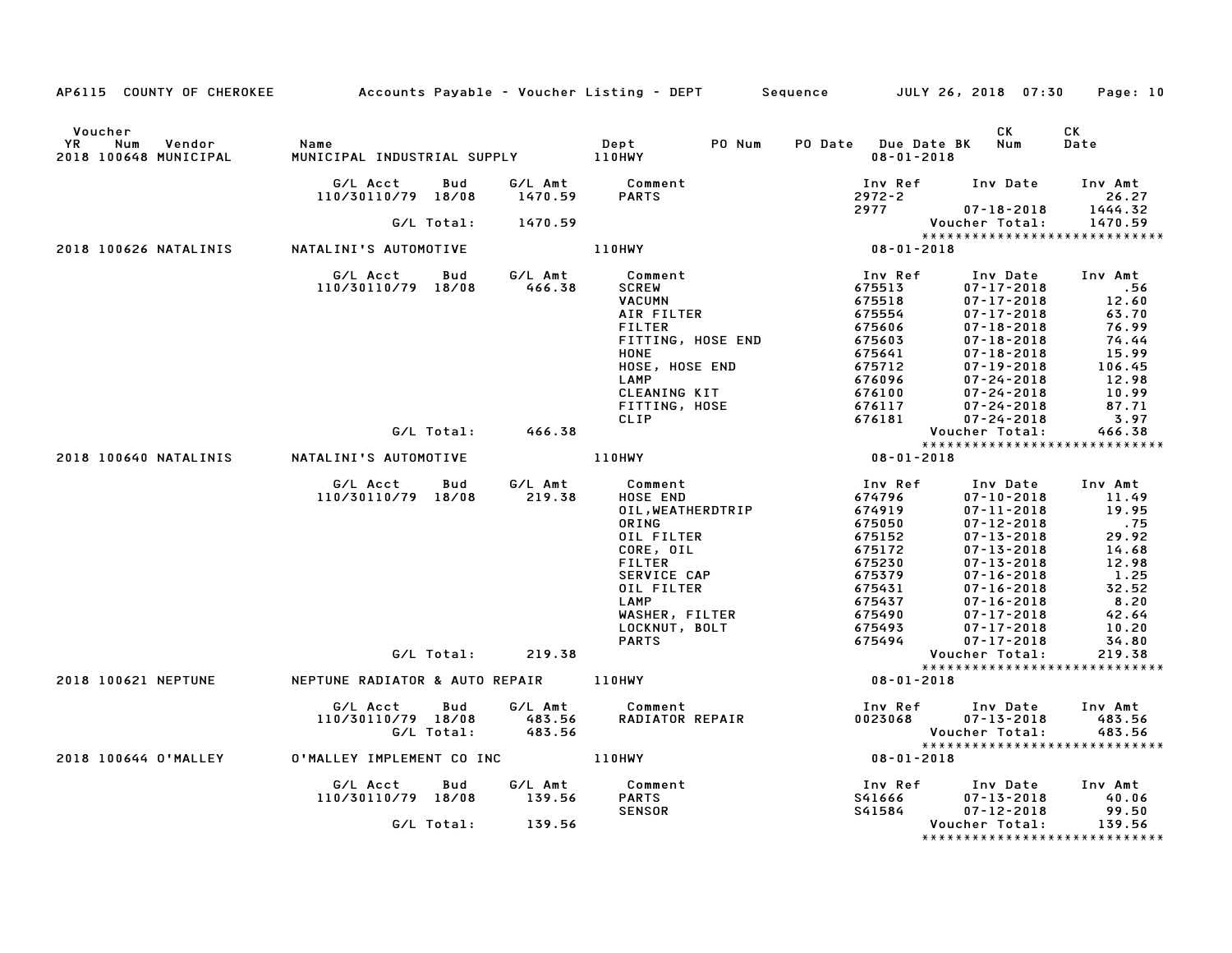| AP6115 COUNTY OF CHEROKEE Accounts Payable - Voucher Listing - DEPT |                                                                                         |                             |                                                                                                                                                                                       | Sequence JULY 26, 2018 07:30                                                                                                    |                                                                                                                                                                                                                                                                            | Page: 10                                                                                                                  |
|---------------------------------------------------------------------|-----------------------------------------------------------------------------------------|-----------------------------|---------------------------------------------------------------------------------------------------------------------------------------------------------------------------------------|---------------------------------------------------------------------------------------------------------------------------------|----------------------------------------------------------------------------------------------------------------------------------------------------------------------------------------------------------------------------------------------------------------------------|---------------------------------------------------------------------------------------------------------------------------|
| Voucher<br><b>YR</b><br>Num<br>Vendor<br>2018 100648 MUNICIPAL      | Name<br>MUNICIPAL INDUSTRIAL SUPPLY 110HWY                                              |                             | Dept<br>PO Num                                                                                                                                                                        | PO Date Due Date BK<br>$08 - 01 - 2018$                                                                                         | CK<br>Num                                                                                                                                                                                                                                                                  | СK<br>Date                                                                                                                |
|                                                                     | G/L Acct<br>Bud<br>110/30110/79 18/08                                                   | 1470.59                     | G/L Amt Comment<br><b>PARTS</b>                                                                                                                                                       | Inv Ref Inv Date<br>2972-2                                                                                                      |                                                                                                                                                                                                                                                                            | Inv Amt<br>26.27                                                                                                          |
|                                                                     | G/L Total:                                                                              | 1470.59                     |                                                                                                                                                                                       | 2977 200                                                                                                                        | $07 - 18 - 2018$<br>Voucher Total:                                                                                                                                                                                                                                         | 1444.32<br>1470.59                                                                                                        |
| 2018 100626 NATALINIS                                               | NATALINI'S AUTOMOTIVE                                                                   |                             | 110HWY                                                                                                                                                                                | $08 - 01 - 2018$                                                                                                                | ******************************                                                                                                                                                                                                                                             |                                                                                                                           |
|                                                                     |                                                                                         |                             |                                                                                                                                                                                       |                                                                                                                                 |                                                                                                                                                                                                                                                                            |                                                                                                                           |
|                                                                     | G/L Acct Bud<br>110/30110/79 18/08                                                      | G/L Amt<br>466.38           | Comment<br><b>SCREW</b><br><b>VACUMN</b><br>AIR FILTER<br><b>FILTER</b><br>FITTING, HOSE END<br>HONE<br>HOSE, HOSE END<br>LAMP<br>CLEANING KIT<br>FITTING, HOSE<br>CLIP               | Inv Ref<br>675513<br>675518<br>675554<br>675606<br>675603<br>675641<br>675712<br>676096<br>676100<br>676117<br>676181           | Inv Date<br>$07 - 17 - 2018$<br>$07 - 17 - 2018$<br>$07 - 17 - 2018$<br>$07 - 18 - 2018$<br>$07 - 18 - 2018$<br>$07 - 18 - 2018$<br>$07 - 19 - 2018$<br>$07 - 24 - 2018$<br>$07 - 24 - 2018$<br>$07 - 24 - 2018$<br>$07 - 24 - 2018$                                       | Inv Amt<br>.56<br>12.60<br>63.70<br>76.99<br>74.44<br>15.99<br>106.45<br>12.98<br>10.99<br>87.71<br>3.97                  |
|                                                                     | G/L Total:                                                                              | 466.38                      |                                                                                                                                                                                       |                                                                                                                                 | Voucher Total:                                                                                                                                                                                                                                                             | 466.38                                                                                                                    |
| 2018 100640 NATALINIS                                               | NATALINI'S AUTOMOTIVE                                                                   |                             | 110HWY                                                                                                                                                                                | $08 - 01 - 2018$                                                                                                                | *****************************                                                                                                                                                                                                                                              |                                                                                                                           |
|                                                                     | G/L Acct<br>Bud<br>110/30110/79 18/08<br>G/L Total:                                     | G/L Amt<br>219.38<br>219.38 | Comment<br>HOSE END<br>OIL, WEATHERDTRIP<br>ORING<br>OIL FILTER<br>CORE, OIL<br><b>FILTER</b><br>SERVICE CAP<br>OIL FILTER<br>LAMP<br>WASHER, FILTER<br>LOCKNUT, BOLT<br><b>PARTS</b> | Inv Ref<br>674796<br>674919<br>675050<br>675152<br>675172<br>675230<br>675379<br>675431<br>675437<br>675490<br>675493<br>675494 | Inv Date<br>$07 - 10 - 2018$<br>$07 - 11 - 2018$<br>$07 - 12 - 2018$<br>$07 - 13 - 2018$<br>$07 - 13 - 2018$<br>$07 - 13 - 2018$<br>$07 - 16 - 2018$<br>$07 - 16 - 2018$<br>$07 - 16 - 2018$<br>$07 - 17 - 2018$<br>$07 - 17 - 2018$<br>$07 - 17 - 2018$<br>Voucher Total: | Inv Amt<br>11.49<br>19.95<br>.75<br>29.92<br>14.68<br>12.98<br>1.25<br>32.52<br>8.20<br>42.64<br>10.20<br>34.80<br>219.38 |
| 2018 100621 NEPTUNE                                                 | NEPTUNE RADIATOR & AUTO REPAIR 110HWY                                                   |                             |                                                                                                                                                                                       | $08 - 01 - 2018$                                                                                                                | *****************************                                                                                                                                                                                                                                              |                                                                                                                           |
| 2018 100644 O'MALLEY                                                | G/L Acct<br>Bud<br>110/30110/79 18/08<br>G/L Total:<br>O'MALLEY IMPLEMENT CO INC 110HWY | G/L Amt<br>483.56<br>483.56 | Comment<br>RADIATOR REPAIR                                                                                                                                                            | Inv Ref<br>0023068<br>$08 - 01 - 2018$                                                                                          | Inv Date<br>$07 - 13 - 2018$<br>Voucher Total:<br>*****************************                                                                                                                                                                                            | Inv Amt<br>483.56<br>483.56                                                                                               |
|                                                                     | G/L Acct<br><b>Bud</b><br>110/30110/79 18/08<br>G/L Total:                              | G/L Amt<br>139.56<br>139.56 | Comment<br><b>PARTS</b><br><b>SENSOR</b>                                                                                                                                              | Inv Ref<br>S41666<br>S41584                                                                                                     | Inv Date<br>$07 - 13 - 2018$<br>$07 - 12 - 2018$<br>Voucher Total:<br>*****************************                                                                                                                                                                        | Inv Amt<br>40.06<br>99.50<br>139.56                                                                                       |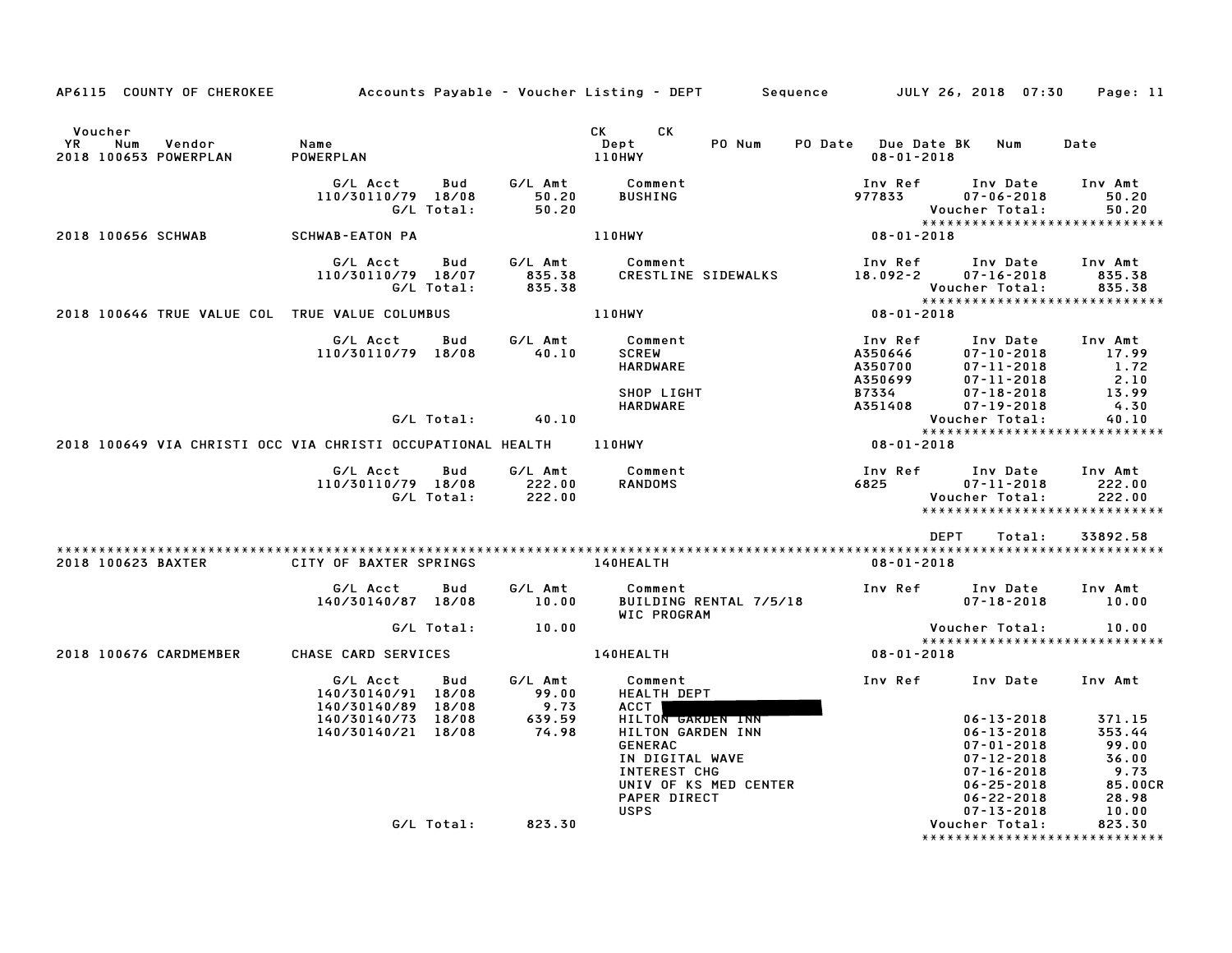| AP6115 COUNTY OF CHEROKEE                                   | Accounts Payable – Voucher Listing – DEPT       Sequence        JULY 26, 2018  07:30 |                   |                             |                                                                                                                                                                                                                                                                |                        |                     |                                          |                                                                                                                                                              | Page: 11                                                                |
|-------------------------------------------------------------|--------------------------------------------------------------------------------------|-------------------|-----------------------------|----------------------------------------------------------------------------------------------------------------------------------------------------------------------------------------------------------------------------------------------------------------|------------------------|---------------------|------------------------------------------|--------------------------------------------------------------------------------------------------------------------------------------------------------------|-------------------------------------------------------------------------|
| Voucher<br>YR<br>Num<br>Vendor<br>2018 100653 POWERPLAN     | Name<br>POWERPLAN                                                                    |                   |                             | CK the control of the control of the control of the control of the control of the control of the control of the control of the control of the control of the control of the control of the control of the control of the contr<br>CK.<br>Dept<br><b>110HWY</b> | PO Num                 | PO Date Due Date BK | $08 - 01 - 2018$                         | Num                                                                                                                                                          | Date                                                                    |
|                                                             | G/L Acct<br>110/30110/79 18/08                                                       | Bud<br>G/L Total: | G/L Amt<br>50.20<br>50.20   | Comment<br>BUSHING                                                                                                                                                                                                                                             |                        |                     | Inv Ref<br>977833                        | Inv Date<br>$07 - 06 - 2018$<br>Voucher Total:                                                                                                               | Inv Amt<br>50.20<br>50.20                                               |
| 2018 100656 SCHWAB                                          | <b>SCHWAB-EATON PA</b>                                                               |                   |                             | <b>110HWY</b>                                                                                                                                                                                                                                                  |                        |                     | $08 - 01 - 2018$                         | *****************************                                                                                                                                |                                                                         |
|                                                             | G/L Acct<br>110/30110/79 18/07                                                       | Bud<br>G/L Total: | G/L Amt<br>835.38<br>835.38 | Comment                                                                                                                                                                                                                                                        | CRESTLINE SIDEWALKS    |                     | Inv Ref<br>18.092-2                      | Inv Date<br>$07 - 16 - 2018$<br>Voucher Total:                                                                                                               | Inv Amt<br>835.38<br>835.38                                             |
| 2018 100646 TRUE VALUE COL TRUE VALUE COLUMBUS              |                                                                                      |                   |                             | 110HWY                                                                                                                                                                                                                                                         |                        |                     | 08-01-2018                               | *****************************                                                                                                                                |                                                                         |
|                                                             | G/L Acct<br>110/30110/79 18/08                                                       | Bud               | G/L Amt<br>40.10            | Comment<br><b>SCREW</b><br><b>HARDWARE</b>                                                                                                                                                                                                                     |                        |                     | Inv Ref<br>A350646<br>A350700<br>A350699 | Inv Date<br>$07 - 10 - 2018$<br>$07 - 11 - 2018$<br>$07 - 11 - 2018$                                                                                         | Inv Amt<br>17.99<br>1.72<br>2.10                                        |
|                                                             |                                                                                      | G/L Total:        | 40.10                       | SHOP LIGHT<br>HARDWARE                                                                                                                                                                                                                                         |                        |                     | B7334<br>A351408                         | $07 - 18 - 2018$<br>$07 - 19 - 2018$<br>Voucher Total:                                                                                                       | 13.99<br>4.30<br>40.10                                                  |
| 2018 100649 VIA CHRISTI OCC VIA CHRISTI OCCUPATIONAL HEALTH |                                                                                      |                   |                             | <b>110HWY</b>                                                                                                                                                                                                                                                  |                        |                     | $08 - 01 - 2018$                         | *****************************                                                                                                                                |                                                                         |
|                                                             | G/L Acct<br>110/30110/79 18/08                                                       | Bud<br>G/L Total: | G/L Amt<br>222.00<br>222.00 | Comment<br>RANDOMS                                                                                                                                                                                                                                             |                        |                     | Inv Ref<br>6825                          | Inv Date<br>$07 - 11 - 2018$<br>Voucher Total:<br>*****************************                                                                              | Inv Amt<br>222.00<br>222.00                                             |
| 2018 100623 BAXTER                                          | CITY OF BAXTER SPRINGS                                                               |                   |                             | <b>140HEALTH</b>                                                                                                                                                                                                                                               |                        |                     | $08 - 01 - 2018$                         | DEPT<br>Total:                                                                                                                                               | 33892.58                                                                |
|                                                             | G/L Acct<br>140/30140/87 18/08                                                       | Bud               | G/L Amt<br>10.00            | Comment<br>WIC PROGRAM                                                                                                                                                                                                                                         | BUILDING RENTAL 7/5/18 |                     | Inv Ref                                  | Inv Date<br>$07 - 18 - 2018$                                                                                                                                 | Inv Amt<br>10.00                                                        |
|                                                             |                                                                                      | G/L Total:        | 10.00                       |                                                                                                                                                                                                                                                                |                        |                     |                                          | Voucher Total:<br>*****************************                                                                                                              | 10.00                                                                   |
| 2018 100676 CARDMEMBER                                      | CHASE CARD SERVICES                                                                  |                   |                             | 140HEALTH                                                                                                                                                                                                                                                      |                        |                     | 08-01-2018                               |                                                                                                                                                              |                                                                         |
|                                                             | G/L Acct<br>140/30140/91 18/08<br>140/30140/89 18/08                                 | Bud               | G/L Amt<br>99.00<br>9.73    | Comment<br>HEALTH DEPT<br>ACCT                                                                                                                                                                                                                                 |                        |                     | Inv Ref                                  | Inv Date                                                                                                                                                     | Inv Amt                                                                 |
|                                                             | 140/30140/73 18/08<br>140/30140/21 18/08                                             |                   | 639.59<br>74.98             | HILTON GARDEN INN<br>HILTON GARDEN INN<br><b>GENERAC</b><br>IN DIGITAL WAVE<br>INTEREST CHG<br><b>PAPER DIRECT</b><br><b>USPS</b>                                                                                                                              | UNIV OF KS MED CENTER  |                     |                                          | $06 - 13 - 2018$<br>$06 - 13 - 2018$<br>$07 - 01 - 2018$<br>$07 - 12 - 2018$<br>$07 - 16 - 2018$<br>$06 - 25 - 2018$<br>$06 - 22 - 2018$<br>$07 - 13 - 2018$ | 371.15<br>353.44<br>99.00<br>36.00<br>9.73<br>85.00CR<br>28.98<br>10.00 |
|                                                             |                                                                                      | G/L Total:        | 823.30                      |                                                                                                                                                                                                                                                                |                        |                     |                                          | Voucher Total:<br>*******************************                                                                                                            | 823.30                                                                  |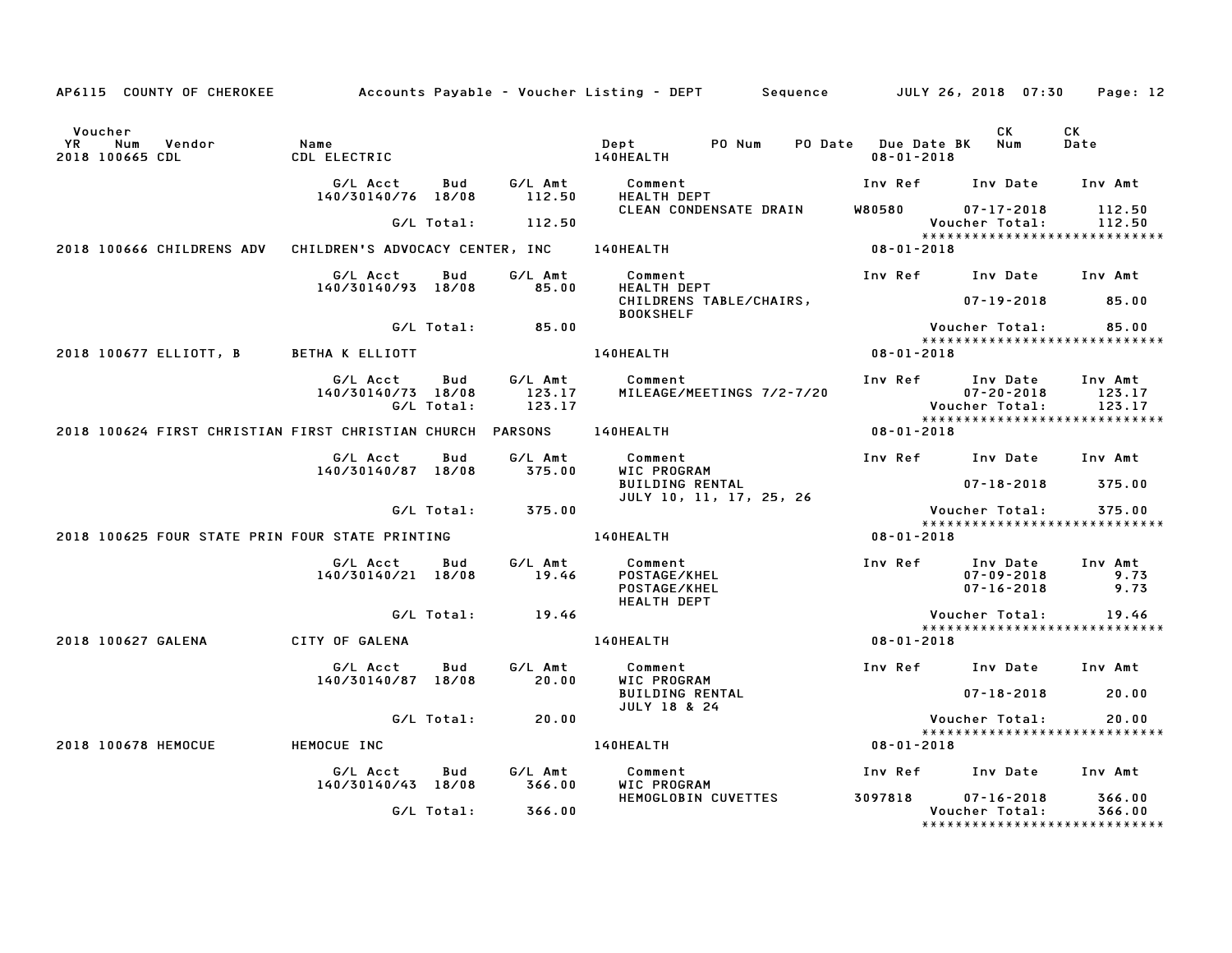| AP6115 COUNTY OF CHEROKEE                                            |                                           |                          |                                                        | Accounts Payable – Voucher Listing – DEPT Sequence JULY 26, 2018 07:30 |                                             |                                                                       | Page: 12                |
|----------------------------------------------------------------------|-------------------------------------------|--------------------------|--------------------------------------------------------|------------------------------------------------------------------------|---------------------------------------------|-----------------------------------------------------------------------|-------------------------|
| Voucher<br>Vendor<br><b>YR</b><br>Num<br>2018 100665 CDL             | Name<br>CDL ELECTRIC                      |                          |                                                        | PO Num<br>Dept<br>140HEALTH                                            | PO Date Due Date BK Num<br>$08 - 01 - 2018$ | CK                                                                    | CK<br>Date              |
|                                                                      | G/L Acct<br>140/30140/76 18/08            | Bud                      | G/L Amt<br>112.50                                      | Comment<br><b>HEALTH DEPT</b>                                          | Inv Ref      Inv Date                       |                                                                       | Inv Amt                 |
|                                                                      |                                           | G/L Total:               | 112.50                                                 | CLEAN CONDENSATE DRAIN                                                 |                                             | W80580 07-17-2018<br>Voucher Total:<br>****************************** | 112.50<br>112.50        |
| 2018 100666 CHILDRENS ADV                                            | CHILDREN'S ADVOCACY CENTER, INC 140HEALTH |                          |                                                        |                                                                        | $08 - 01 - 2018$                            |                                                                       |                         |
|                                                                      | G/L Acct<br>140/30140/93 18/08            | Bud                      | G/L Amt<br>85.00                                       | Comment<br>HEALTH DEPT<br>CHILDRENS TABLE/CHAIRS,                      |                                             | Inv Ref Inv Date Inv Amt<br>07-19-2018                                | 85.00                   |
|                                                                      |                                           | G/L Total:               | 85.00                                                  | <b>BOOKSHELF</b>                                                       |                                             | <b>Voucher Total:</b>                                                 | 85.00                   |
| 2018 100677 ELLIOTT, B BETHA K ELLIOTT                               |                                           |                          |                                                        | 140HEALTH                                                              | $08 - 01 - 2018$                            |                                                                       |                         |
|                                                                      | G/L Acct<br>140/30140/73 18/08            | <b>Bud</b><br>G/L Total: | G/L Amt<br>123.17<br>123.17                            | Comment<br>MILEAGE/MEETINGS 7/2-7/20                                   |                                             | Inv Ref Inv Date Inv Amt<br>$07 - 20 - 2018$<br>Voucher Total:        | 123.17<br>123.17        |
| 2018 100624 FIRST CHRISTIAN FIRST CHRISTIAN CHURCH PARSONS 140HEALTH |                                           |                          |                                                        |                                                                        | $08 - 01 - 2018$                            |                                                                       |                         |
|                                                                      | G/L Acct<br>140/30140/87 18/08            | Bud                      | G/L Amt<br>375.00                                      | Comment<br>WIC PROGRAM<br><b>BUILDING RENTAL</b>                       |                                             | Inv Ref Inv Date Inv Amt<br>$07 - 18 - 2018$                          | 375.00                  |
|                                                                      |                                           |                          | G/L Total: 375.00                                      | JULY 10, 11, 17, 25, 26                                                |                                             | Voucher Total:<br>*****************************                       | 375.00                  |
| 2018 100625 FOUR STATE PRIN FOUR STATE PRINTING                      |                                           |                          |                                                        | <b>140HEALTH</b>                                                       | 08-01-2018                                  |                                                                       |                         |
|                                                                      | G/L Acct<br>140/30140/21 18/08            | Bud                      | $G/L$ Amt<br>$\begin{array}{c} 1 \circ 46 \end{array}$ | Comment<br>POSTAGE/KHEL<br>POSTAGE/KHEL<br><b>HEALTH DEPT</b>          |                                             | Inv Ref Inv Date<br>$07 - 09 - 2018$<br>$07 - 16 - 2018$              | Inv Amt<br>9.73<br>9.73 |
|                                                                      |                                           | G/L Total:               | 19.46                                                  |                                                                        |                                             | Voucher Total:<br>******************************                      | 19.46                   |
| 2018 100627 GALENA CITY OF GALENA                                    |                                           |                          |                                                        | 140HEALTH                                                              | 08-01-2018                                  |                                                                       |                         |
|                                                                      | G/L Acct<br>140/30140/87 18/08            | Bud                      | G/L Amt<br>20.00                                       | Comment<br>WIC PROGRAM                                                 |                                             | Inv Ref Inv Date Inv Amt                                              |                         |
|                                                                      |                                           |                          |                                                        | <b>BUILDING RENTAL</b><br><b>JULY 18 &amp; 24</b>                      |                                             | $07 - 18 - 2018$                                                      | 20.00                   |
|                                                                      |                                           | G/L Total:               | 20.00                                                  |                                                                        |                                             | Voucher Total:<br>******************************                      | 20.00                   |
| 2018 100678 HEMOCUE                                                  | HEMOCUE INC                               |                          |                                                        | 140HEALTH                                                              | 08-01-2018                                  |                                                                       |                         |
|                                                                      | G/L Acct<br>140/30140/43 18/08            | Bud                      | G/L Amt<br>366.00                                      | Comment<br>WIC PROGRAM                                                 |                                             | Inv Ref      Inv Date     Inv Amt                                     |                         |
|                                                                      |                                           | G/L Total:               | 366.00                                                 | HEMOGLOBIN CUVETTES                                                    | 3097818                                     | $07 - 16 - 2018$<br>Voucher Total:<br>*****************************   | 366.00<br>366.00        |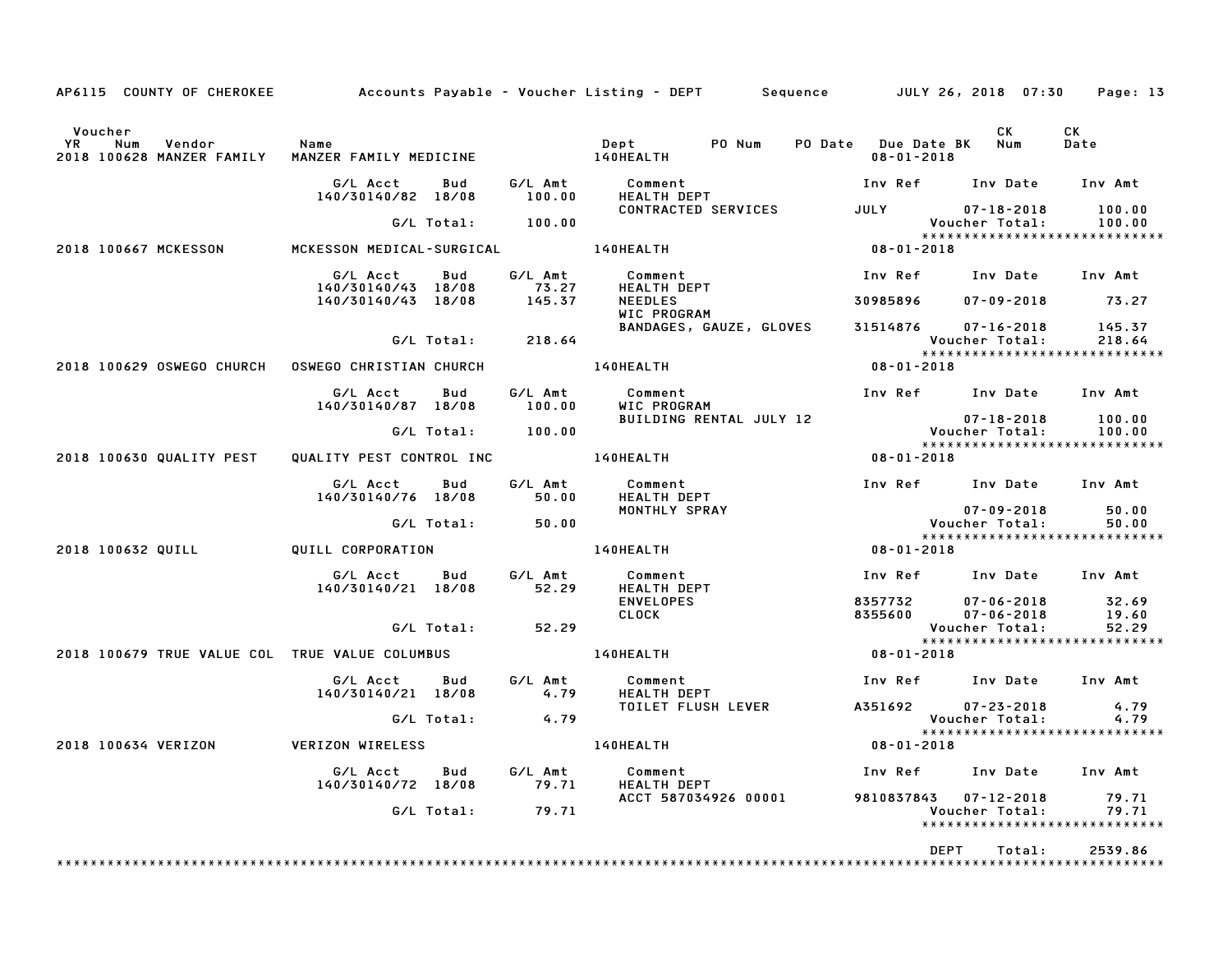| AP6115 COUNTY OF CHEROKEE Accounts Payable – Voucher Listing – DEPT Sequence JULY 26, 2018 07:30 Page: 13 |                                           |            |                       |                                                     |                  |                                             |                                                 |                   |
|-----------------------------------------------------------------------------------------------------------|-------------------------------------------|------------|-----------------------|-----------------------------------------------------|------------------|---------------------------------------------|-------------------------------------------------|-------------------|
| Voucher<br>YR<br>Vendor<br>Num<br>2018 100628 MANZER FAMILY                                               | Name<br>MANZER FAMILY MEDICINE            |            |                       | Dept<br>PO Num<br><b>140HEALTH</b>                  |                  | PO Date Due Date BK Num<br>$08 - 01 - 2018$ | CK                                              | <b>CK</b><br>Date |
|                                                                                                           | G/L Acct<br>140/30140/82 18/08            | Bud        | G/L Amt<br>100.00     | Comment<br>HEALTH DEPT                              |                  |                                             | Inv Ref Inv Date Inv Amt                        |                   |
|                                                                                                           |                                           |            | $G/L$ Total: $100.00$ | CONTRACTED SERVICES                                 |                  | <b>JULY</b>                                 | $07 - 18 - 2018$<br>Voucher Total:              | 100.00<br>100.00  |
| 2018 100667 MCKESSON                                                                                      | MCKESSON MEDICAL-SURGICAL                 |            |                       | <b>140HEALTH</b>                                    |                  | $08 - 01 - 2018$                            | *****************************                   |                   |
|                                                                                                           | G/L Acct                                  | Bud        | G/L Amt               | Comment                                             |                  |                                             | Inv Ref Inv Date Inv Amt                        |                   |
|                                                                                                           | 140/30140/43 18/08<br>140/30140/43 18/08  |            | 73.27<br>145.37       | <b>HEALTH DEPT</b><br><b>NEEDLES</b><br>WIC PROGRAM |                  | 30985896                                    | $07 - 09 - 2018$                                | 73.27             |
|                                                                                                           |                                           | G/L Total: | 218.64                | BANDAGES, GAUZE, GLOVES                             |                  |                                             | 31514876 07-16-2018<br>Voucher Total:           | 145.37<br>218.64  |
| 2018 100629 OSWEGO CHURCH                                                                                 | <b>OSWEGO CHRISTIAN CHURCH</b>            |            |                       | 140HEALTH                                           |                  | 08-01-2018                                  | *****************************                   |                   |
|                                                                                                           | G/L Acct                                  | Bud        | G/L Amt               | Comment                                             |                  |                                             | Inv Ref Inv Date Inv Amt                        |                   |
|                                                                                                           | 140/30140/87 18/08                        |            | 100.00                | WIC PROGRAM<br>BUILDING RENTAL JULY 12              |                  |                                             | $07 - 18 - 2018$                                | 100.00            |
|                                                                                                           |                                           |            | G/L Total: 100.00     |                                                     |                  |                                             | Voucher Total:                                  | 100.00            |
| 2018 100630 QUALITY PEST                                                                                  | QUALITY PEST CONTROL INC <b>140HEALTH</b> |            |                       |                                                     |                  | 08-01-2018                                  | *****************************                   |                   |
|                                                                                                           | G/L Acct<br>140/30140/76 18/08            | Bud        | G/L Amt<br>50.00      | Comment<br><b>HEALTH DEPT</b>                       |                  |                                             | Inv Ref Inv Date Inv Amt                        |                   |
|                                                                                                           |                                           | G/L Total: | 50.00                 | MONTHLY SPRAY                                       |                  |                                             | $07 - 09 - 2018$<br>Voucher Total:              | 50.00<br>50.00    |
|                                                                                                           |                                           |            |                       | <b>140HEALTH</b>                                    |                  | 08-01-2018                                  | *****************************                   |                   |
| 2018 100632 QUILL                                                                                         | QUILL CORPORATION                         |            |                       |                                                     |                  |                                             |                                                 |                   |
|                                                                                                           | G/L Acct<br>140/30140/21 18/08            | Bud        | G/L Amt<br>52.29      | Comment<br>HEALTH DEPT<br><b>ENVELOPES</b>          |                  | 8357732                                     | Inv Ref Inv Date Inv Amt<br>$07 - 06 - 2018$    | 32.69             |
|                                                                                                           |                                           |            |                       | <b>CLOCK</b>                                        |                  | 8355600                                     | $07 - 06 - 2018$                                | 19.60             |
|                                                                                                           |                                           | G/L Total: | 52.29                 |                                                     |                  |                                             | Voucher Total:<br>***************************** | 52.29             |
| 2018 100679 TRUE VALUE COL TRUE VALUE COLUMBUS                                                            |                                           |            | <b>140HEALTH</b>      |                                                     | 08-01-2018       |                                             |                                                 |                   |
|                                                                                                           | G/L Acct Bud<br>140/30140/21 18/08        |            | G/L Amt<br>4.79       | Comment<br><b>HEALTH DEPT</b>                       |                  |                                             | Inv Ref Inv Date Inv Amt                        |                   |
|                                                                                                           |                                           | G/L Total: | 4.79                  | TOILET FLUSH LEVER                                  |                  | A351692                                     | $07 - 23 - 2018$<br>Voucher Total:              | 4.79<br>4.79      |
|                                                                                                           |                                           |            |                       |                                                     |                  |                                             |                                                 |                   |
| 2018 100634 VERIZON                                                                                       | VERIZON WIRELESS                          |            | 140HEALTH             |                                                     | $08 - 01 - 2018$ |                                             |                                                 |                   |
|                                                                                                           | G/L Acct<br>140/30140/72 18/08            | Bud        | G/L Amt<br>79.71      | Comment<br>HEALTH DEPT                              |                  |                                             | Inv Ref      Inv Date                           | Inv Amt           |
|                                                                                                           |                                           | G/L Total: | 79.71                 | ACCT 587034926 00001 9810837843 07-12-2018          |                  |                                             | Voucher Total:                                  | 79.71<br>79.71    |
|                                                                                                           |                                           |            |                       |                                                     |                  |                                             | *****************************                   |                   |
|                                                                                                           |                                           |            |                       |                                                     |                  | <b>DEPT</b>                                 | Total:                                          | 2539.86           |
|                                                                                                           |                                           |            |                       |                                                     |                  |                                             |                                                 |                   |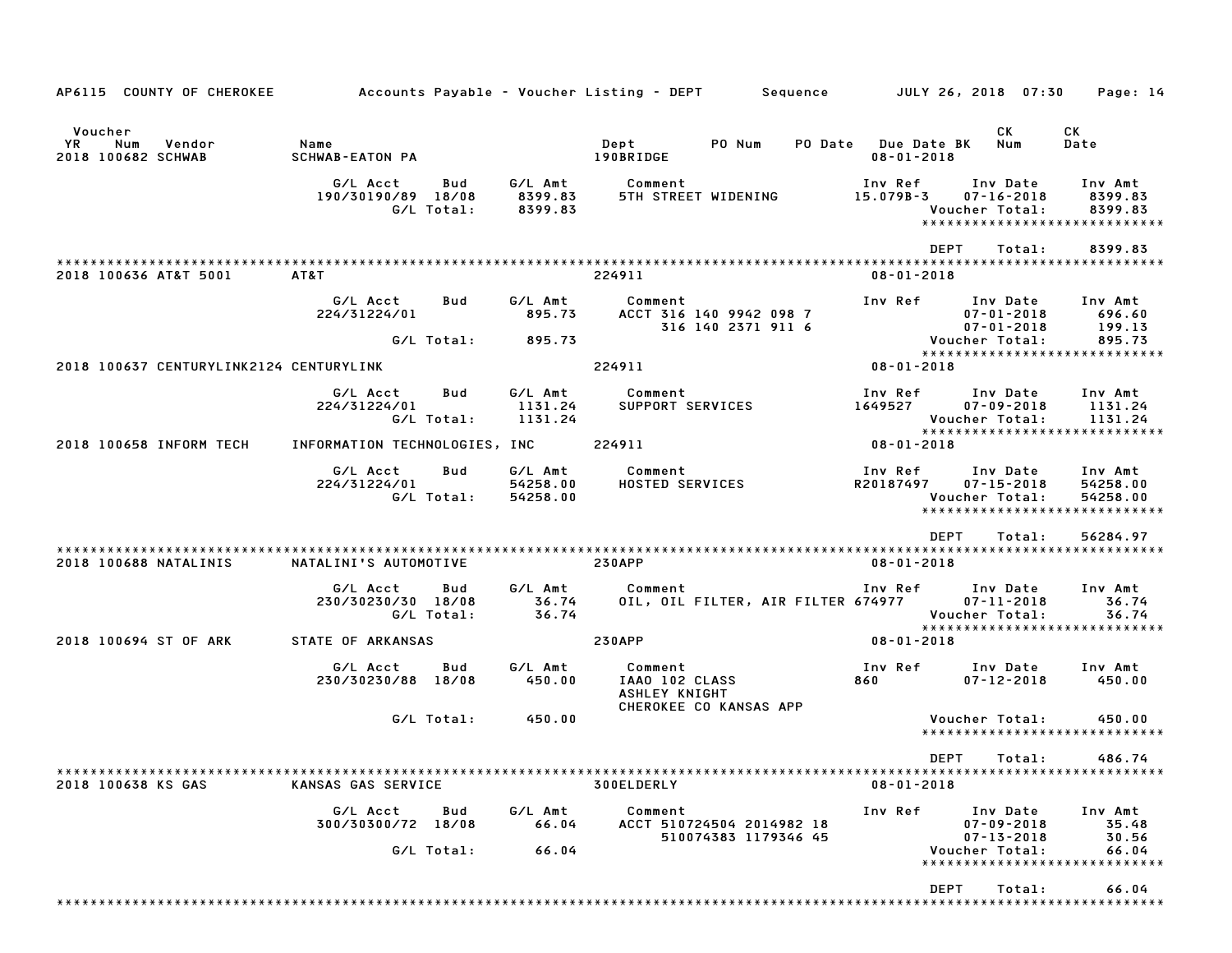| AP6115 COUNTY OF CHEROKEE                            |                                                     |                                 | Accounts Payable – Voucher Listing – DEPT         Sequence         JULY 26, 2018  07:30 |                                                                               | Page: 14                                                         |
|------------------------------------------------------|-----------------------------------------------------|---------------------------------|-----------------------------------------------------------------------------------------|-------------------------------------------------------------------------------|------------------------------------------------------------------|
| Voucher<br>YR<br>Num<br>Vendor<br>2018 100682 SCHWAB | Name<br>SCHWAB-EATON PA                             |                                 | PO Num<br>Dept<br>190BRIDGE                                                             | СK<br>PO Date Due Date BK<br>Num<br>$08 - 01 - 2018$                          | СK<br>Date                                                       |
|                                                      | G/L Acct<br>Bud<br>190/30190/89 18/08<br>G/L Total: | G/L Amt<br>8399.83<br>8399.83   | Comment<br>5TH STREET WIDENING                                                          | Inv Ref<br>Inv Date<br>15.079B-3<br>$07 - 16 - 2018$<br>Voucher Total:        | Inv Amt<br>8399.83<br>8399.83<br>*****************************   |
|                                                      |                                                     |                                 |                                                                                         | <b>DEPT</b><br>Total:                                                         | 8399.83                                                          |
| 2018 100636 AT&T 5001                                | AT&T                                                |                                 | 224911                                                                                  | $08 - 01 - 2018$                                                              |                                                                  |
|                                                      | G/L Acct<br>Bud<br>224/31224/01                     | G/L Amt<br>895.73               | Comment<br>ACCT 316 140 9942 098 7<br>316 140 2371 911 6                                | Inv Ref<br>Inv Date<br>$07 - 01 - 2018$<br>$07 - 01 - 2018$                   | Inv Amt<br>696.60<br>199.13                                      |
|                                                      | G/L Total:                                          | 895.73                          |                                                                                         | Voucher Total:                                                                | 895.73<br>*****************************                          |
| 2018 100637 CENTURYLINK2124 CENTURYLINK              |                                                     |                                 | 224911                                                                                  | $08 - 01 - 2018$                                                              |                                                                  |
|                                                      | G/L Acct<br>Bud<br>224/31224/01<br>G/L Total:       | G/L Amt<br>1131.24<br>1131.24   | Comment<br>SUPPORT SERVICES                                                             | Inv Ref<br>Inv Date<br>1649527<br>$07 - 09 - 2018$<br>Voucher Total:          | Inv Amt<br>1131.24<br>1131.24                                    |
| 2018 100658 INFORM TECH                              | INFORMATION TECHNOLOGIES, INC                       |                                 | 224911                                                                                  | $08 - 01 - 2018$                                                              | *****************************                                    |
|                                                      | G/L Acct<br>Bud<br>224/31224/01<br>G/L Total:       | G/L Amt<br>54258.00<br>54258.00 | Comment<br><b>HOSTED SERVICES</b>                                                       | Inv Ref<br>Inv Date<br>$07 - 15 - 2018$<br>R20187497<br>Voucher Total:        | Inv Amt<br>54258.00<br>54258.00<br>***************************** |
|                                                      |                                                     |                                 |                                                                                         | <b>DEPT</b><br>Total:                                                         | 56284.97                                                         |
| 2018 100688 NATALINIS                                | NATALINI'S AUTOMOTIVE                               |                                 | <b>230APP</b>                                                                           | $08 - 01 - 2018$                                                              |                                                                  |
|                                                      | G/L Acct<br>Bud<br>230/30230/30 18/08<br>G/L Total: | G/L Amt<br>36.74<br>36.74       | Comment<br>OIL, OIL FILTER, AIR FILTER 674977                                           | Inv Ref<br>Inv Date<br>07-11-2018<br>Voucher Total:                           | Inv Amt<br>36.74<br>36.74                                        |
| 2018 100694 ST OF ARK                                | STATE OF ARKANSAS                                   |                                 | <b>230APP</b>                                                                           | 08-01-2018                                                                    | *****************************                                    |
|                                                      | G/L Acct<br>Bud<br>230/30230/88 18/08               | G/L Amt<br>450.00               | Comment<br>IAAO 102 CLASS<br>ASHLEY KNIGHT<br>CHEROKEE CO KANSAS APP                    | Inv Ref<br>Inv Date<br>$07 - 12 - 2018$<br>860                                | Inv Amt<br>450.00                                                |
|                                                      | G/L Total:                                          | 450.00                          |                                                                                         | Voucher Total:                                                                | 450.00<br>*****************************                          |
| 2018 100638 KS GAS                                   | KANSAS GAS SERVICE                                  |                                 | 300ELDERLY                                                                              | DEPT Total:<br>$08 - 01 - 2018$                                               | 486.74                                                           |
|                                                      | G/L Acct<br>Bud<br>300/30300/72 18/08<br>G/L Total: | G/L Amt<br>66.04<br>66.04       | Comment<br>ACCT 510724504 2014982 18<br>510074383 1179346 45                            | Inv Ref<br>Inv Date<br>$07 - 09 - 2018$<br>$07 - 13 - 2018$<br>Voucher Total: | Inv Amt<br>35.48<br>30.56<br>66.04                               |
|                                                      |                                                     |                                 |                                                                                         |                                                                               | *****************************                                    |
|                                                      |                                                     |                                 |                                                                                         | <b>DEPT</b><br>Total:                                                         | 66.04                                                            |